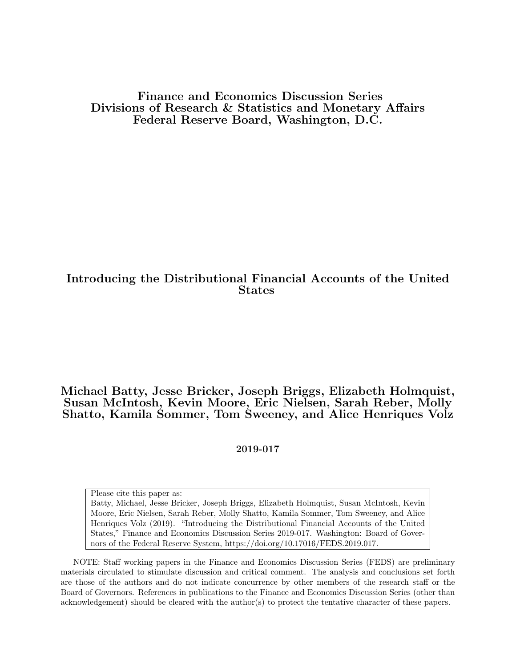#### Finance and Economics Discussion Series Divisions of Research & Statistics and Monetary Affairs Federal Reserve Board, Washington, D.C.

#### Introducing the Distributional Financial Accounts of the United States

#### Michael Batty, Jesse Bricker, Joseph Briggs, Elizabeth Holmquist, Susan McIntosh, Kevin Moore, Eric Nielsen, Sarah Reber, Molly Shatto, Kamila Sommer, Tom Sweeney, and Alice Henriques Volz

#### 2019-017

Please cite this paper as:

Batty, Michael, Jesse Bricker, Joseph Briggs, Elizabeth Holmquist, Susan McIntosh, Kevin Moore, Eric Nielsen, Sarah Reber, Molly Shatto, Kamila Sommer, Tom Sweeney, and Alice Henriques Volz (2019). "Introducing the Distributional Financial Accounts of the United States," Finance and Economics Discussion Series 2019-017. Washington: Board of Governors of the Federal Reserve System, https://doi.org/10.17016/FEDS.2019.017.

NOTE: Staff working papers in the Finance and Economics Discussion Series (FEDS) are preliminary materials circulated to stimulate discussion and critical comment. The analysis and conclusions set forth are those of the authors and do not indicate concurrence by other members of the research staff or the Board of Governors. References in publications to the Finance and Economics Discussion Series (other than acknowledgement) should be cleared with the author(s) to protect the tentative character of these papers.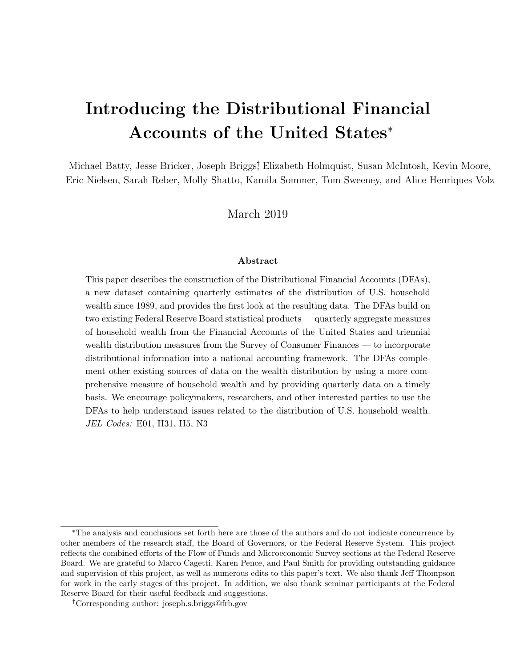# Introducing the Distributional Financial Accounts of the United States<sup>∗</sup>

Michael Batty, Jesse Bricker, Joseph Briggs† , Elizabeth Holmquist, Susan McIntosh, Kevin Moore, Eric Nielsen, Sarah Reber, Molly Shatto, Kamila Sommer, Tom Sweeney, and Alice Henriques Volz

March 2019

#### Abstract

This paper describes the construction of the Distributional Financial Accounts (DFAs), a new dataset containing quarterly estimates of the distribution of U.S. household wealth since 1989, and provides the first look at the resulting data. The DFAs build on two existing Federal Reserve Board statistical products — quarterly aggregate measures of household wealth from the Financial Accounts of the United States and triennial wealth distribution measures from the Survey of Consumer Finances — to incorporate distributional information into a national accounting framework. The DFAs complement other existing sources of data on the wealth distribution by using a more comprehensive measure of household wealth and by providing quarterly data on a timely basis. We encourage policymakers, researchers, and other interested parties to use the DFAs to help understand issues related to the distribution of U.S. household wealth. JEL Codes: E01, H31, H5, N3

<sup>∗</sup>The analysis and conclusions set forth here are those of the authors and do not indicate concurrence by other members of the research staff, the Board of Governors, or the Federal Reserve System. This project reflects the combined efforts of the Flow of Funds and Microeconomic Survey sections at the Federal Reserve Board. We are grateful to Marco Cagetti, Karen Pence, and Paul Smith for providing outstanding guidance and supervision of this project, as well as numerous edits to this paper's text. We also thank Jeff Thompson for work in the early stages of this project. In addition, we also thank seminar participants at the Federal Reserve Board for their useful feedback and suggestions.

<sup>†</sup>Corresponding author: joseph.s.briggs@frb.gov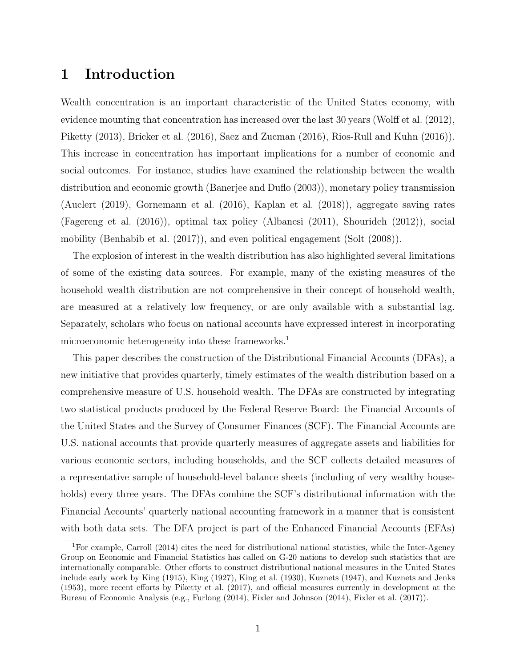## 1 Introduction

Wealth concentration is an important characteristic of the United States economy, with evidence mounting that concentration has increased over the last 30 years (Wolff et al. (2012), Piketty (2013), Bricker et al. (2016), Saez and Zucman (2016), Rios-Rull and Kuhn (2016)). This increase in concentration has important implications for a number of economic and social outcomes. For instance, studies have examined the relationship between the wealth distribution and economic growth (Banerjee and Duflo (2003)), monetary policy transmission (Auclert (2019), Gornemann et al. (2016), Kaplan et al. (2018)), aggregate saving rates (Fagereng et al. (2016)), optimal tax policy (Albanesi (2011), Shourideh (2012)), social mobility (Benhabib et al. (2017)), and even political engagement (Solt (2008)).

The explosion of interest in the wealth distribution has also highlighted several limitations of some of the existing data sources. For example, many of the existing measures of the household wealth distribution are not comprehensive in their concept of household wealth, are measured at a relatively low frequency, or are only available with a substantial lag. Separately, scholars who focus on national accounts have expressed interest in incorporating microeconomic heterogeneity into these frameworks.<sup>1</sup>

This paper describes the construction of the Distributional Financial Accounts (DFAs), a new initiative that provides quarterly, timely estimates of the wealth distribution based on a comprehensive measure of U.S. household wealth. The DFAs are constructed by integrating two statistical products produced by the Federal Reserve Board: the Financial Accounts of the United States and the Survey of Consumer Finances (SCF). The Financial Accounts are U.S. national accounts that provide quarterly measures of aggregate assets and liabilities for various economic sectors, including households, and the SCF collects detailed measures of a representative sample of household-level balance sheets (including of very wealthy households) every three years. The DFAs combine the SCF's distributional information with the Financial Accounts' quarterly national accounting framework in a manner that is consistent with both data sets. The DFA project is part of the Enhanced Financial Accounts (EFAs)

<sup>&</sup>lt;sup>1</sup>For example, Carroll (2014) cites the need for distributional national statistics, while the Inter-Agency Group on Economic and Financial Statistics has called on G-20 nations to develop such statistics that are internationally comparable. Other efforts to construct distributional national measures in the United States include early work by King (1915), King (1927), King et al. (1930), Kuznets (1947), and Kuznets and Jenks (1953), more recent efforts by Piketty et al. (2017), and official measures currently in development at the Bureau of Economic Analysis (e.g., Furlong (2014), Fixler and Johnson (2014), Fixler et al. (2017)).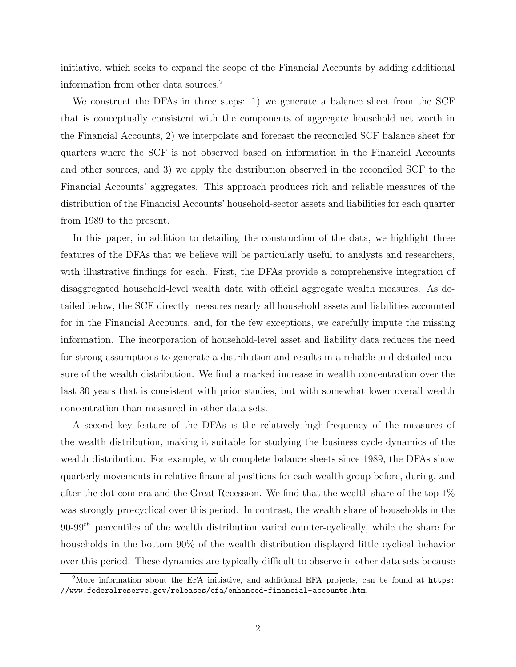initiative, which seeks to expand the scope of the Financial Accounts by adding additional information from other data sources.<sup>2</sup>

We construct the DFAs in three steps: 1) we generate a balance sheet from the SCF that is conceptually consistent with the components of aggregate household net worth in the Financial Accounts, 2) we interpolate and forecast the reconciled SCF balance sheet for quarters where the SCF is not observed based on information in the Financial Accounts and other sources, and 3) we apply the distribution observed in the reconciled SCF to the Financial Accounts' aggregates. This approach produces rich and reliable measures of the distribution of the Financial Accounts' household-sector assets and liabilities for each quarter from 1989 to the present.

In this paper, in addition to detailing the construction of the data, we highlight three features of the DFAs that we believe will be particularly useful to analysts and researchers, with illustrative findings for each. First, the DFAs provide a comprehensive integration of disaggregated household-level wealth data with official aggregate wealth measures. As detailed below, the SCF directly measures nearly all household assets and liabilities accounted for in the Financial Accounts, and, for the few exceptions, we carefully impute the missing information. The incorporation of household-level asset and liability data reduces the need for strong assumptions to generate a distribution and results in a reliable and detailed measure of the wealth distribution. We find a marked increase in wealth concentration over the last 30 years that is consistent with prior studies, but with somewhat lower overall wealth concentration than measured in other data sets.

A second key feature of the DFAs is the relatively high-frequency of the measures of the wealth distribution, making it suitable for studying the business cycle dynamics of the wealth distribution. For example, with complete balance sheets since 1989, the DFAs show quarterly movements in relative financial positions for each wealth group before, during, and after the dot-com era and the Great Recession. We find that the wealth share of the top 1% was strongly pro-cyclical over this period. In contrast, the wealth share of households in the  $90-99$ <sup>th</sup> percentiles of the wealth distribution varied counter-cyclically, while the share for households in the bottom 90% of the wealth distribution displayed little cyclical behavior over this period. These dynamics are typically difficult to observe in other data sets because

<sup>&</sup>lt;sup>2</sup>More information about the EFA initiative, and additional EFA projects, can be found at https: //www.federalreserve.gov/releases/efa/enhanced-financial-accounts.htm.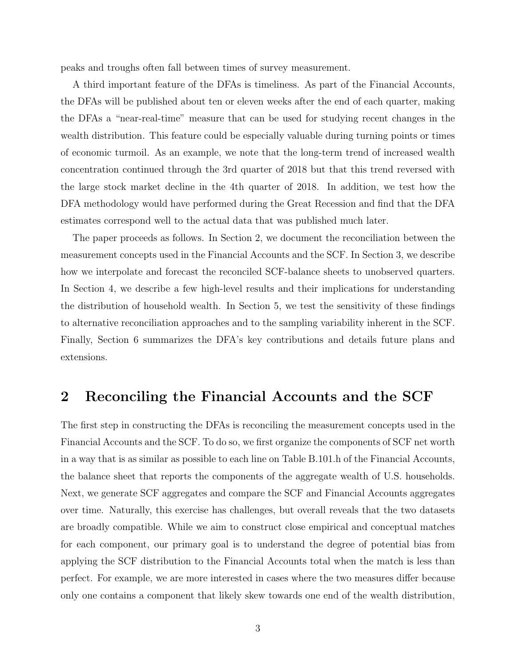peaks and troughs often fall between times of survey measurement.

A third important feature of the DFAs is timeliness. As part of the Financial Accounts, the DFAs will be published about ten or eleven weeks after the end of each quarter, making the DFAs a "near-real-time" measure that can be used for studying recent changes in the wealth distribution. This feature could be especially valuable during turning points or times of economic turmoil. As an example, we note that the long-term trend of increased wealth concentration continued through the 3rd quarter of 2018 but that this trend reversed with the large stock market decline in the 4th quarter of 2018. In addition, we test how the DFA methodology would have performed during the Great Recession and find that the DFA estimates correspond well to the actual data that was published much later.

The paper proceeds as follows. In Section 2, we document the reconciliation between the measurement concepts used in the Financial Accounts and the SCF. In Section 3, we describe how we interpolate and forecast the reconciled SCF-balance sheets to unobserved quarters. In Section 4, we describe a few high-level results and their implications for understanding the distribution of household wealth. In Section 5, we test the sensitivity of these findings to alternative reconciliation approaches and to the sampling variability inherent in the SCF. Finally, Section 6 summarizes the DFA's key contributions and details future plans and extensions.

### 2 Reconciling the Financial Accounts and the SCF

The first step in constructing the DFAs is reconciling the measurement concepts used in the Financial Accounts and the SCF. To do so, we first organize the components of SCF net worth in a way that is as similar as possible to each line on Table B.101.h of the Financial Accounts, the balance sheet that reports the components of the aggregate wealth of U.S. households. Next, we generate SCF aggregates and compare the SCF and Financial Accounts aggregates over time. Naturally, this exercise has challenges, but overall reveals that the two datasets are broadly compatible. While we aim to construct close empirical and conceptual matches for each component, our primary goal is to understand the degree of potential bias from applying the SCF distribution to the Financial Accounts total when the match is less than perfect. For example, we are more interested in cases where the two measures differ because only one contains a component that likely skew towards one end of the wealth distribution,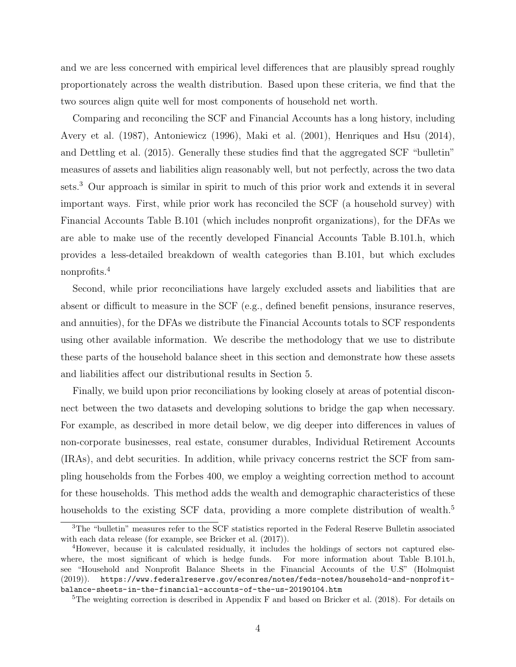and we are less concerned with empirical level differences that are plausibly spread roughly proportionately across the wealth distribution. Based upon these criteria, we find that the two sources align quite well for most components of household net worth.

Comparing and reconciling the SCF and Financial Accounts has a long history, including Avery et al. (1987), Antoniewicz (1996), Maki et al. (2001), Henriques and Hsu (2014), and Dettling et al. (2015). Generally these studies find that the aggregated SCF "bulletin" measures of assets and liabilities align reasonably well, but not perfectly, across the two data sets.<sup>3</sup> Our approach is similar in spirit to much of this prior work and extends it in several important ways. First, while prior work has reconciled the SCF (a household survey) with Financial Accounts Table B.101 (which includes nonprofit organizations), for the DFAs we are able to make use of the recently developed Financial Accounts Table B.101.h, which provides a less-detailed breakdown of wealth categories than B.101, but which excludes nonprofits.<sup>4</sup>

Second, while prior reconciliations have largely excluded assets and liabilities that are absent or difficult to measure in the SCF (e.g., defined benefit pensions, insurance reserves, and annuities), for the DFAs we distribute the Financial Accounts totals to SCF respondents using other available information. We describe the methodology that we use to distribute these parts of the household balance sheet in this section and demonstrate how these assets and liabilities affect our distributional results in Section 5.

Finally, we build upon prior reconciliations by looking closely at areas of potential disconnect between the two datasets and developing solutions to bridge the gap when necessary. For example, as described in more detail below, we dig deeper into differences in values of non-corporate businesses, real estate, consumer durables, Individual Retirement Accounts (IRAs), and debt securities. In addition, while privacy concerns restrict the SCF from sampling households from the Forbes 400, we employ a weighting correction method to account for these households. This method adds the wealth and demographic characteristics of these households to the existing SCF data, providing a more complete distribution of wealth.<sup>5</sup>

<sup>3</sup>The "bulletin" measures refer to the SCF statistics reported in the Federal Reserve Bulletin associated with each data release (for example, see Bricker et al. (2017)).

<sup>4</sup>However, because it is calculated residually, it includes the holdings of sectors not captured elsewhere, the most significant of which is hedge funds. For more information about Table B.101.h, see "Household and Nonprofit Balance Sheets in the Financial Accounts of the U.S" (Holmquist (2019)). https://www.federalreserve.gov/econres/notes/feds-notes/household-and-nonprofitbalance-sheets-in-the-financial-accounts-of-the-us-20190104.htm

<sup>5</sup>The weighting correction is described in Appendix F and based on Bricker et al. (2018). For details on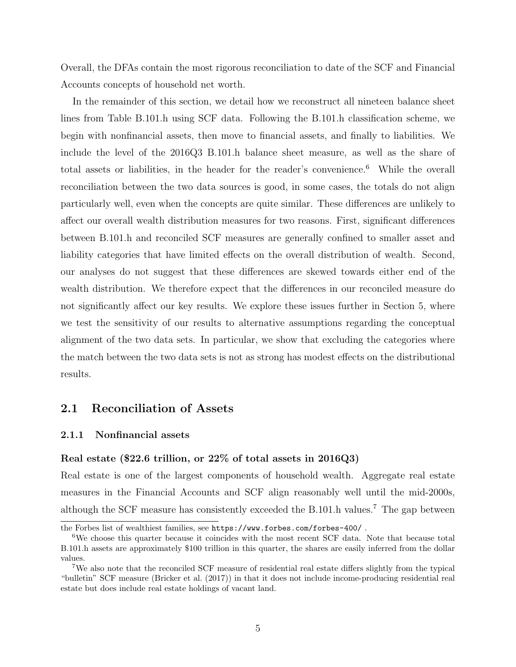Overall, the DFAs contain the most rigorous reconciliation to date of the SCF and Financial Accounts concepts of household net worth.

In the remainder of this section, we detail how we reconstruct all nineteen balance sheet lines from Table B.101.h using SCF data. Following the B.101.h classification scheme, we begin with nonfinancial assets, then move to financial assets, and finally to liabilities. We include the level of the 2016Q3 B.101.h balance sheet measure, as well as the share of total assets or liabilities, in the header for the reader's convenience.<sup>6</sup> While the overall reconciliation between the two data sources is good, in some cases, the totals do not align particularly well, even when the concepts are quite similar. These differences are unlikely to affect our overall wealth distribution measures for two reasons. First, significant differences between B.101.h and reconciled SCF measures are generally confined to smaller asset and liability categories that have limited effects on the overall distribution of wealth. Second, our analyses do not suggest that these differences are skewed towards either end of the wealth distribution. We therefore expect that the differences in our reconciled measure do not significantly affect our key results. We explore these issues further in Section 5, where we test the sensitivity of our results to alternative assumptions regarding the conceptual alignment of the two data sets. In particular, we show that excluding the categories where the match between the two data sets is not as strong has modest effects on the distributional results.

#### 2.1 Reconciliation of Assets

#### 2.1.1 Nonfinancial assets

#### Real estate (\$22.6 trillion, or 22% of total assets in 2016Q3)

Real estate is one of the largest components of household wealth. Aggregate real estate measures in the Financial Accounts and SCF align reasonably well until the mid-2000s, although the SCF measure has consistently exceeded the B.101.h values.<sup>7</sup> The gap between

the Forbes list of wealthiest families, see https://www.forbes.com/forbes-400/ .

<sup>&</sup>lt;sup>6</sup>We choose this quarter because it coincides with the most recent SCF data. Note that because total B.101.h assets are approximately \$100 trillion in this quarter, the shares are easily inferred from the dollar values.

<sup>7</sup>We also note that the reconciled SCF measure of residential real estate differs slightly from the typical "bulletin" SCF measure (Bricker et al. (2017)) in that it does not include income-producing residential real estate but does include real estate holdings of vacant land.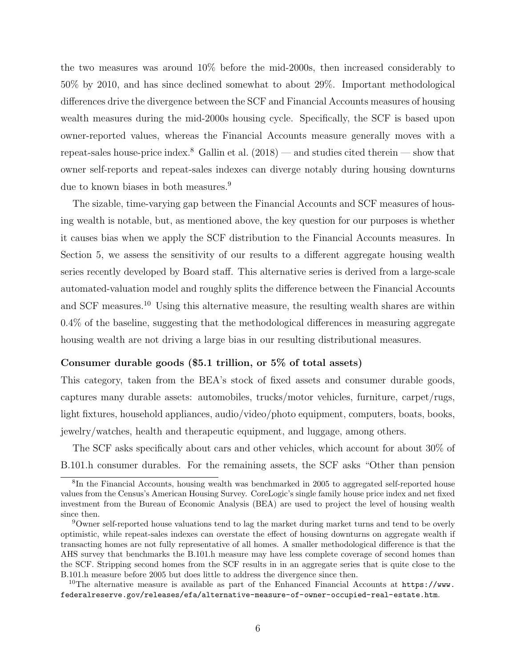the two measures was around 10% before the mid-2000s, then increased considerably to 50% by 2010, and has since declined somewhat to about 29%. Important methodological differences drive the divergence between the SCF and Financial Accounts measures of housing wealth measures during the mid-2000s housing cycle. Specifically, the SCF is based upon owner-reported values, whereas the Financial Accounts measure generally moves with a repeat-sales house-price index.<sup>8</sup> Gallin et al.  $(2018)$  — and studies cited therein — show that owner self-reports and repeat-sales indexes can diverge notably during housing downturns due to known biases in both measures.<sup>9</sup>

The sizable, time-varying gap between the Financial Accounts and SCF measures of housing wealth is notable, but, as mentioned above, the key question for our purposes is whether it causes bias when we apply the SCF distribution to the Financial Accounts measures. In Section 5, we assess the sensitivity of our results to a different aggregate housing wealth series recently developed by Board staff. This alternative series is derived from a large-scale automated-valuation model and roughly splits the difference between the Financial Accounts and SCF measures.<sup>10</sup> Using this alternative measure, the resulting wealth shares are within 0.4% of the baseline, suggesting that the methodological differences in measuring aggregate housing wealth are not driving a large bias in our resulting distributional measures.

#### Consumer durable goods (\$5.1 trillion, or 5% of total assets)

This category, taken from the BEA's stock of fixed assets and consumer durable goods, captures many durable assets: automobiles, trucks/motor vehicles, furniture, carpet/rugs, light fixtures, household appliances, audio/video/photo equipment, computers, boats, books, jewelry/watches, health and therapeutic equipment, and luggage, among others.

The SCF asks specifically about cars and other vehicles, which account for about 30% of B.101.h consumer durables. For the remaining assets, the SCF asks "Other than pension

<sup>&</sup>lt;sup>8</sup>In the Financial Accounts, housing wealth was benchmarked in 2005 to aggregated self-reported house values from the Census's American Housing Survey. CoreLogic's single family house price index and net fixed investment from the Bureau of Economic Analysis (BEA) are used to project the level of housing wealth since then.

<sup>9</sup>Owner self-reported house valuations tend to lag the market during market turns and tend to be overly optimistic, while repeat-sales indexes can overstate the effect of housing downturns on aggregate wealth if transacting homes are not fully representative of all homes. A smaller methodological difference is that the AHS survey that benchmarks the B.101.h measure may have less complete coverage of second homes than the SCF. Stripping second homes from the SCF results in in an aggregate series that is quite close to the B.101.h measure before 2005 but does little to address the divergence since then.

<sup>&</sup>lt;sup>10</sup>The alternative measure is available as part of the Enhanced Financial Accounts at  $https://www.$ federalreserve.gov/releases/efa/alternative-measure-of-owner-occupied-real-estate.htm.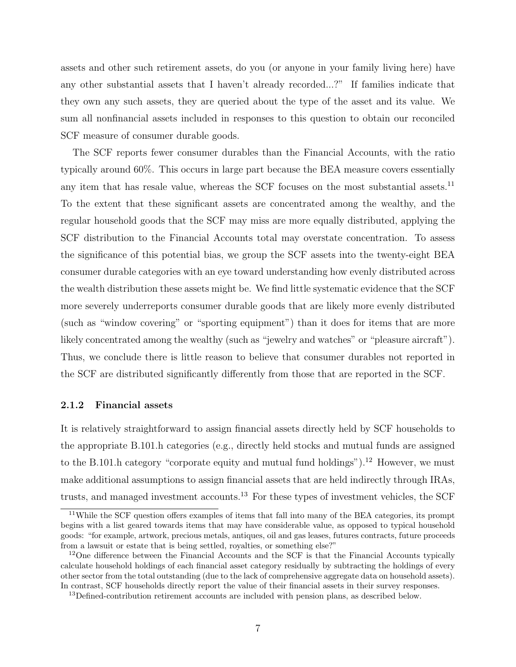assets and other such retirement assets, do you (or anyone in your family living here) have any other substantial assets that I haven't already recorded...?" If families indicate that they own any such assets, they are queried about the type of the asset and its value. We sum all nonfinancial assets included in responses to this question to obtain our reconciled SCF measure of consumer durable goods.

The SCF reports fewer consumer durables than the Financial Accounts, with the ratio typically around 60%. This occurs in large part because the BEA measure covers essentially any item that has resale value, whereas the SCF focuses on the most substantial assets. $^{11}$ To the extent that these significant assets are concentrated among the wealthy, and the regular household goods that the SCF may miss are more equally distributed, applying the SCF distribution to the Financial Accounts total may overstate concentration. To assess the significance of this potential bias, we group the SCF assets into the twenty-eight BEA consumer durable categories with an eye toward understanding how evenly distributed across the wealth distribution these assets might be. We find little systematic evidence that the SCF more severely underreports consumer durable goods that are likely more evenly distributed (such as "window covering" or "sporting equipment") than it does for items that are more likely concentrated among the wealthy (such as "jewelry and watches" or "pleasure aircraft"). Thus, we conclude there is little reason to believe that consumer durables not reported in the SCF are distributed significantly differently from those that are reported in the SCF.

#### 2.1.2 Financial assets

It is relatively straightforward to assign financial assets directly held by SCF households to the appropriate B.101.h categories (e.g., directly held stocks and mutual funds are assigned to the B.101.h category "corporate equity and mutual fund holdings").<sup>12</sup> However, we must make additional assumptions to assign financial assets that are held indirectly through IRAs, trusts, and managed investment accounts.<sup>13</sup> For these types of investment vehicles, the SCF

 $11$ While the SCF question offers examples of items that fall into many of the BEA categories, its prompt begins with a list geared towards items that may have considerable value, as opposed to typical household goods: "for example, artwork, precious metals, antiques, oil and gas leases, futures contracts, future proceeds from a lawsuit or estate that is being settled, royalties, or something else?"

<sup>&</sup>lt;sup>12</sup>One difference between the Financial Accounts and the SCF is that the Financial Accounts typically calculate household holdings of each financial asset category residually by subtracting the holdings of every other sector from the total outstanding (due to the lack of comprehensive aggregate data on household assets). In contrast, SCF households directly report the value of their financial assets in their survey responses.

<sup>&</sup>lt;sup>13</sup>Defined-contribution retirement accounts are included with pension plans, as described below.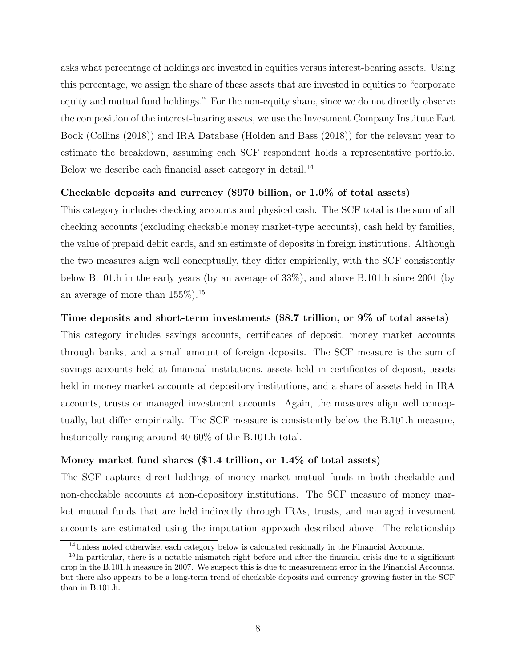asks what percentage of holdings are invested in equities versus interest-bearing assets. Using this percentage, we assign the share of these assets that are invested in equities to "corporate equity and mutual fund holdings." For the non-equity share, since we do not directly observe the composition of the interest-bearing assets, we use the Investment Company Institute Fact Book (Collins (2018)) and IRA Database (Holden and Bass (2018)) for the relevant year to estimate the breakdown, assuming each SCF respondent holds a representative portfolio. Below we describe each financial asset category in detail.<sup>14</sup>

#### Checkable deposits and currency (\$970 billion, or 1.0% of total assets)

This category includes checking accounts and physical cash. The SCF total is the sum of all checking accounts (excluding checkable money market-type accounts), cash held by families, the value of prepaid debit cards, and an estimate of deposits in foreign institutions. Although the two measures align well conceptually, they differ empirically, with the SCF consistently below B.101.h in the early years (by an average of 33%), and above B.101.h since 2001 (by an average of more than  $155\%$ ).<sup>15</sup>

#### Time deposits and short-term investments (\$8.7 trillion, or 9% of total assets)

This category includes savings accounts, certificates of deposit, money market accounts through banks, and a small amount of foreign deposits. The SCF measure is the sum of savings accounts held at financial institutions, assets held in certificates of deposit, assets held in money market accounts at depository institutions, and a share of assets held in IRA accounts, trusts or managed investment accounts. Again, the measures align well conceptually, but differ empirically. The SCF measure is consistently below the B.101.h measure, historically ranging around 40-60% of the B.101.h total.

#### Money market fund shares (\$1.4 trillion, or 1.4% of total assets)

The SCF captures direct holdings of money market mutual funds in both checkable and non-checkable accounts at non-depository institutions. The SCF measure of money market mutual funds that are held indirectly through IRAs, trusts, and managed investment accounts are estimated using the imputation approach described above. The relationship

<sup>14</sup>Unless noted otherwise, each category below is calculated residually in the Financial Accounts.

<sup>&</sup>lt;sup>15</sup>In particular, there is a notable mismatch right before and after the financial crisis due to a significant drop in the B.101.h measure in 2007. We suspect this is due to measurement error in the Financial Accounts, but there also appears to be a long-term trend of checkable deposits and currency growing faster in the SCF than in B.101.h.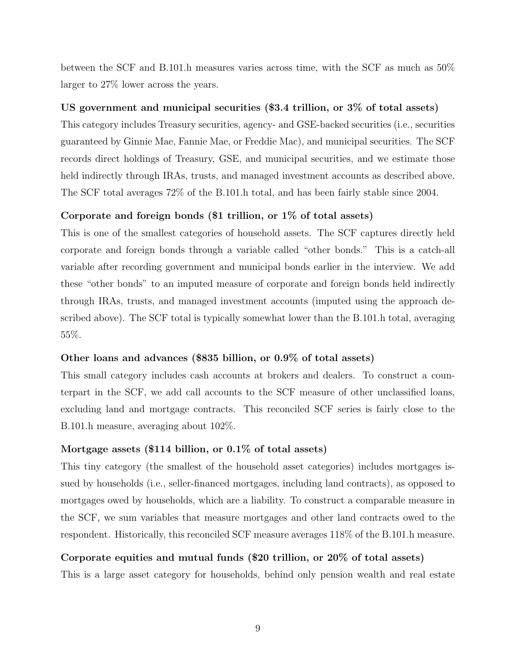between the SCF and B.101.h measures varies across time, with the SCF as much as 50% larger to 27% lower across the years.

#### US government and municipal securities (\$3.4 trillion, or 3% of total assets)

This category includes Treasury securities, agency- and GSE-backed securities (i.e., securities guaranteed by Ginnie Mae, Fannie Mae, or Freddie Mac), and municipal securities. The SCF records direct holdings of Treasury, GSE, and municipal securities, and we estimate those held indirectly through IRAs, trusts, and managed investment accounts as described above. The SCF total averages 72% of the B.101.h total, and has been fairly stable since 2004.

#### Corporate and foreign bonds (\$1 trillion, or 1% of total assets)

This is one of the smallest categories of household assets. The SCF captures directly held corporate and foreign bonds through a variable called "other bonds." This is a catch-all variable after recording government and municipal bonds earlier in the interview. We add these "other bonds" to an imputed measure of corporate and foreign bonds held indirectly through IRAs, trusts, and managed investment accounts (imputed using the approach described above). The SCF total is typically somewhat lower than the B.101.h total, averaging 55%.

#### Other loans and advances (\$835 billion, or 0.9% of total assets)

This small category includes cash accounts at brokers and dealers. To construct a counterpart in the SCF, we add call accounts to the SCF measure of other unclassified loans, excluding land and mortgage contracts. This reconciled SCF series is fairly close to the B.101.h measure, averaging about 102%.

#### Mortgage assets (\$114 billion, or 0.1% of total assets)

This tiny category (the smallest of the household asset categories) includes mortgages issued by households (i.e., seller-financed mortgages, including land contracts), as opposed to mortgages owed by households, which are a liability. To construct a comparable measure in the SCF, we sum variables that measure mortgages and other land contracts owed to the respondent. Historically, this reconciled SCF measure averages 118% of the B.101.h measure.

#### Corporate equities and mutual funds (\$20 trillion, or 20% of total assets)

This is a large asset category for households, behind only pension wealth and real estate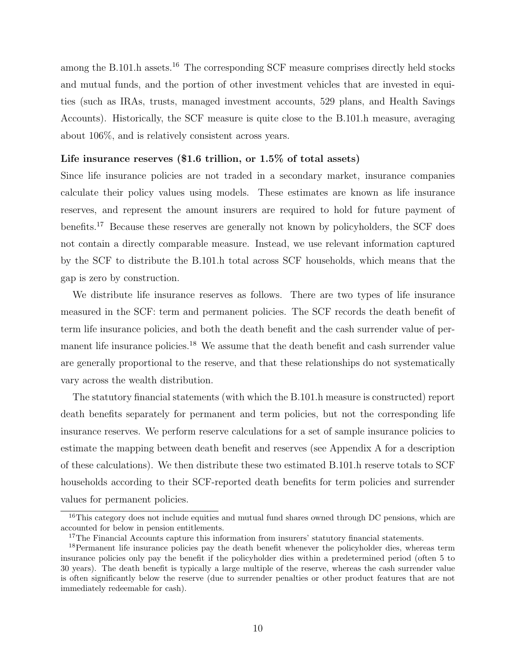among the B.101.h assets.<sup>16</sup> The corresponding SCF measure comprises directly held stocks and mutual funds, and the portion of other investment vehicles that are invested in equities (such as IRAs, trusts, managed investment accounts, 529 plans, and Health Savings Accounts). Historically, the SCF measure is quite close to the B.101.h measure, averaging about 106%, and is relatively consistent across years.

#### Life insurance reserves (\$1.6 trillion, or 1.5\% of total assets)

Since life insurance policies are not traded in a secondary market, insurance companies calculate their policy values using models. These estimates are known as life insurance reserves, and represent the amount insurers are required to hold for future payment of benefits.<sup>17</sup> Because these reserves are generally not known by policyholders, the SCF does not contain a directly comparable measure. Instead, we use relevant information captured by the SCF to distribute the B.101.h total across SCF households, which means that the gap is zero by construction.

We distribute life insurance reserves as follows. There are two types of life insurance measured in the SCF: term and permanent policies. The SCF records the death benefit of term life insurance policies, and both the death benefit and the cash surrender value of permanent life insurance policies.<sup>18</sup> We assume that the death benefit and cash surrender value are generally proportional to the reserve, and that these relationships do not systematically vary across the wealth distribution.

The statutory financial statements (with which the B.101.h measure is constructed) report death benefits separately for permanent and term policies, but not the corresponding life insurance reserves. We perform reserve calculations for a set of sample insurance policies to estimate the mapping between death benefit and reserves (see Appendix A for a description of these calculations). We then distribute these two estimated B.101.h reserve totals to SCF households according to their SCF-reported death benefits for term policies and surrender values for permanent policies.

<sup>&</sup>lt;sup>16</sup>This category does not include equities and mutual fund shares owned through DC pensions, which are accounted for below in pension entitlements.

<sup>&</sup>lt;sup>17</sup>The Financial Accounts capture this information from insurers' statutory financial statements.

<sup>&</sup>lt;sup>18</sup>Permanent life insurance policies pay the death benefit whenever the policyholder dies, whereas term insurance policies only pay the benefit if the policyholder dies within a predetermined period (often 5 to 30 years). The death benefit is typically a large multiple of the reserve, whereas the cash surrender value is often significantly below the reserve (due to surrender penalties or other product features that are not immediately redeemable for cash).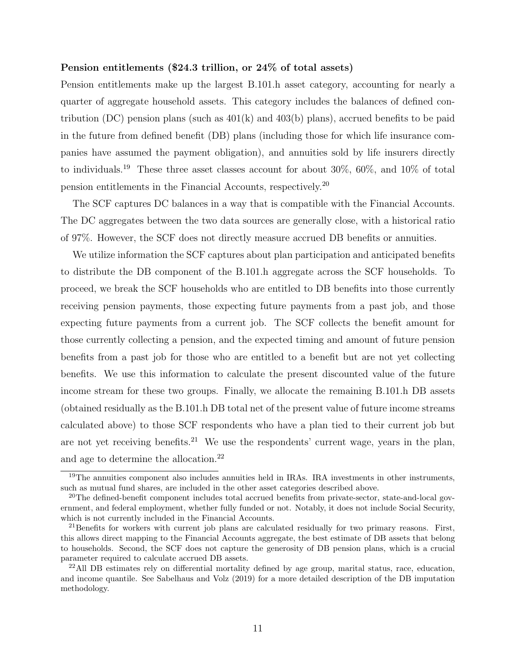#### Pension entitlements (\$24.3 trillion, or 24% of total assets)

Pension entitlements make up the largest B.101.h asset category, accounting for nearly a quarter of aggregate household assets. This category includes the balances of defined contribution (DC) pension plans (such as  $401(k)$  and  $403(b)$  plans), accrued benefits to be paid in the future from defined benefit (DB) plans (including those for which life insurance companies have assumed the payment obligation), and annuities sold by life insurers directly to individuals.<sup>19</sup> These three asset classes account for about 30%, 60%, and 10% of total pension entitlements in the Financial Accounts, respectively.<sup>20</sup>

The SCF captures DC balances in a way that is compatible with the Financial Accounts. The DC aggregates between the two data sources are generally close, with a historical ratio of 97%. However, the SCF does not directly measure accrued DB benefits or annuities.

We utilize information the SCF captures about plan participation and anticipated benefits to distribute the DB component of the B.101.h aggregate across the SCF households. To proceed, we break the SCF households who are entitled to DB benefits into those currently receiving pension payments, those expecting future payments from a past job, and those expecting future payments from a current job. The SCF collects the benefit amount for those currently collecting a pension, and the expected timing and amount of future pension benefits from a past job for those who are entitled to a benefit but are not yet collecting benefits. We use this information to calculate the present discounted value of the future income stream for these two groups. Finally, we allocate the remaining B.101.h DB assets (obtained residually as the B.101.h DB total net of the present value of future income streams calculated above) to those SCF respondents who have a plan tied to their current job but are not yet receiving benefits.<sup>21</sup> We use the respondents' current wage, years in the plan, and age to determine the allocation.<sup>22</sup>

<sup>&</sup>lt;sup>19</sup>The annuities component also includes annuities held in IRAs. IRA investments in other instruments, such as mutual fund shares, are included in the other asset categories described above.

<sup>&</sup>lt;sup>20</sup>The defined-benefit component includes total accrued benefits from private-sector, state-and-local government, and federal employment, whether fully funded or not. Notably, it does not include Social Security, which is not currently included in the Financial Accounts.

 $^{21}$ Benefits for workers with current job plans are calculated residually for two primary reasons. First, this allows direct mapping to the Financial Accounts aggregate, the best estimate of DB assets that belong to households. Second, the SCF does not capture the generosity of DB pension plans, which is a crucial parameter required to calculate accrued DB assets.

 $22$ All DB estimates rely on differential mortality defined by age group, marital status, race, education, and income quantile. See Sabelhaus and Volz (2019) for a more detailed description of the DB imputation methodology.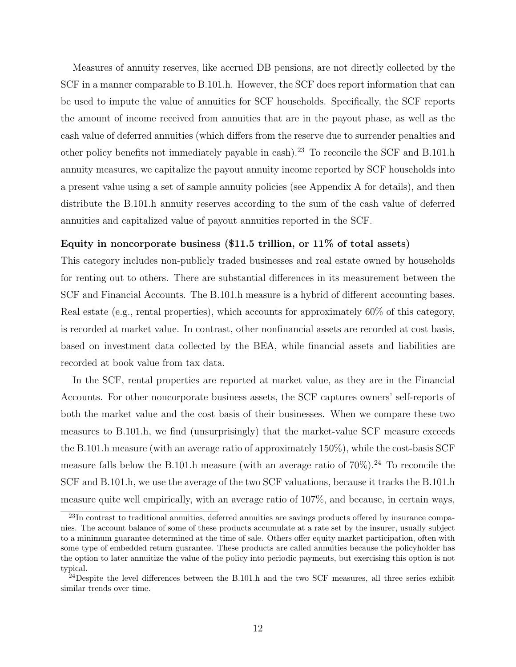Measures of annuity reserves, like accrued DB pensions, are not directly collected by the SCF in a manner comparable to B.101.h. However, the SCF does report information that can be used to impute the value of annuities for SCF households. Specifically, the SCF reports the amount of income received from annuities that are in the payout phase, as well as the cash value of deferred annuities (which differs from the reserve due to surrender penalties and other policy benefits not immediately payable in cash).<sup>23</sup> To reconcile the SCF and B.101.h annuity measures, we capitalize the payout annuity income reported by SCF households into a present value using a set of sample annuity policies (see Appendix A for details), and then distribute the B.101.h annuity reserves according to the sum of the cash value of deferred annuities and capitalized value of payout annuities reported in the SCF.

#### Equity in noncorporate business (\$11.5 trillion, or 11% of total assets)

This category includes non-publicly traded businesses and real estate owned by households for renting out to others. There are substantial differences in its measurement between the SCF and Financial Accounts. The B.101.h measure is a hybrid of different accounting bases. Real estate (e.g., rental properties), which accounts for approximately 60% of this category, is recorded at market value. In contrast, other nonfinancial assets are recorded at cost basis, based on investment data collected by the BEA, while financial assets and liabilities are recorded at book value from tax data.

In the SCF, rental properties are reported at market value, as they are in the Financial Accounts. For other noncorporate business assets, the SCF captures owners' self-reports of both the market value and the cost basis of their businesses. When we compare these two measures to B.101.h, we find (unsurprisingly) that the market-value SCF measure exceeds the B.101.h measure (with an average ratio of approximately 150%), while the cost-basis SCF measure falls below the B.101.h measure (with an average ratio of  $70\%$ ).<sup>24</sup> To reconcile the SCF and B.101.h, we use the average of the two SCF valuations, because it tracks the B.101.h measure quite well empirically, with an average ratio of 107%, and because, in certain ways,

 $^{23}$ In contrast to traditional annuities, deferred annuities are savings products offered by insurance companies. The account balance of some of these products accumulate at a rate set by the insurer, usually subject to a minimum guarantee determined at the time of sale. Others offer equity market participation, often with some type of embedded return guarantee. These products are called annuities because the policyholder has the option to later annuitize the value of the policy into periodic payments, but exercising this option is not typical.

<sup>&</sup>lt;sup>24</sup>Despite the level differences between the B.101.h and the two SCF measures, all three series exhibit similar trends over time.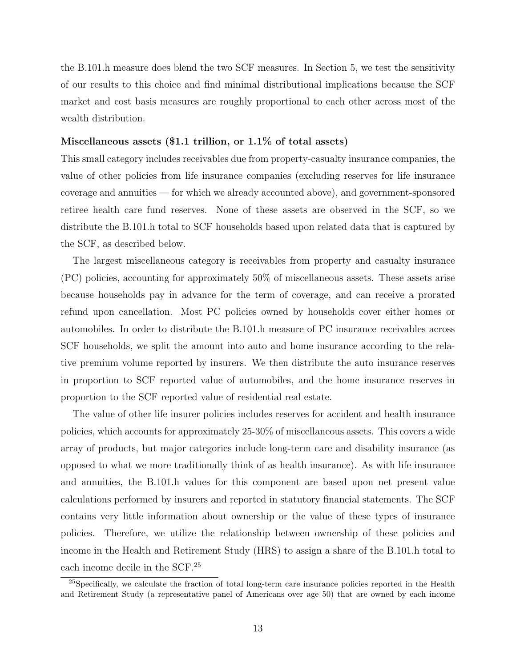the B.101.h measure does blend the two SCF measures. In Section 5, we test the sensitivity of our results to this choice and find minimal distributional implications because the SCF market and cost basis measures are roughly proportional to each other across most of the wealth distribution.

#### Miscellaneous assets  $(\$1.1$  trillion, or  $1.1\%$  of total assets)

This small category includes receivables due from property-casualty insurance companies, the value of other policies from life insurance companies (excluding reserves for life insurance coverage and annuities — for which we already accounted above), and government-sponsored retiree health care fund reserves. None of these assets are observed in the SCF, so we distribute the B.101.h total to SCF households based upon related data that is captured by the SCF, as described below.

The largest miscellaneous category is receivables from property and casualty insurance (PC) policies, accounting for approximately 50% of miscellaneous assets. These assets arise because households pay in advance for the term of coverage, and can receive a prorated refund upon cancellation. Most PC policies owned by households cover either homes or automobiles. In order to distribute the B.101.h measure of PC insurance receivables across SCF households, we split the amount into auto and home insurance according to the relative premium volume reported by insurers. We then distribute the auto insurance reserves in proportion to SCF reported value of automobiles, and the home insurance reserves in proportion to the SCF reported value of residential real estate.

The value of other life insurer policies includes reserves for accident and health insurance policies, which accounts for approximately 25-30% of miscellaneous assets. This covers a wide array of products, but major categories include long-term care and disability insurance (as opposed to what we more traditionally think of as health insurance). As with life insurance and annuities, the B.101.h values for this component are based upon net present value calculations performed by insurers and reported in statutory financial statements. The SCF contains very little information about ownership or the value of these types of insurance policies. Therefore, we utilize the relationship between ownership of these policies and income in the Health and Retirement Study (HRS) to assign a share of the B.101.h total to each income decile in the SCF.<sup>25</sup>

<sup>&</sup>lt;sup>25</sup>Specifically, we calculate the fraction of total long-term care insurance policies reported in the Health and Retirement Study (a representative panel of Americans over age 50) that are owned by each income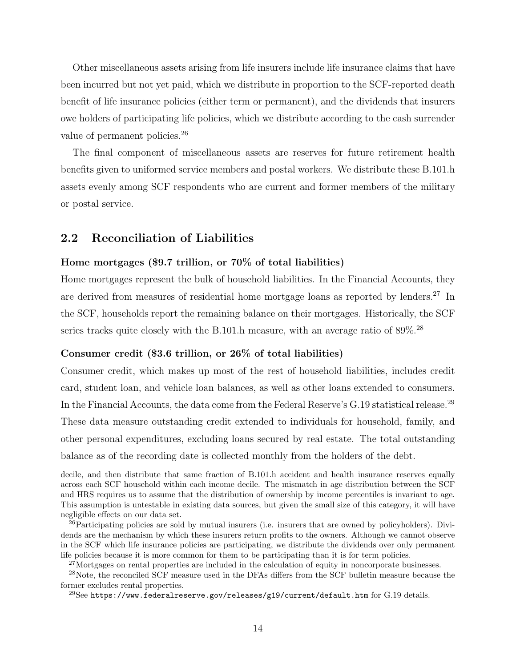Other miscellaneous assets arising from life insurers include life insurance claims that have been incurred but not yet paid, which we distribute in proportion to the SCF-reported death benefit of life insurance policies (either term or permanent), and the dividends that insurers owe holders of participating life policies, which we distribute according to the cash surrender value of permanent policies.<sup>26</sup>

The final component of miscellaneous assets are reserves for future retirement health benefits given to uniformed service members and postal workers. We distribute these B.101.h assets evenly among SCF respondents who are current and former members of the military or postal service.

#### 2.2 Reconciliation of Liabilities

#### Home mortgages (\$9.7 trillion, or 70% of total liabilities)

Home mortgages represent the bulk of household liabilities. In the Financial Accounts, they are derived from measures of residential home mortgage loans as reported by lenders.<sup>27</sup> In the SCF, households report the remaining balance on their mortgages. Historically, the SCF series tracks quite closely with the B.101.h measure, with an average ratio of  $89\%$ .<sup>28</sup>

#### Consumer credit (\$3.6 trillion, or 26% of total liabilities)

Consumer credit, which makes up most of the rest of household liabilities, includes credit card, student loan, and vehicle loan balances, as well as other loans extended to consumers. In the Financial Accounts, the data come from the Federal Reserve's G.19 statistical release.<sup>29</sup> These data measure outstanding credit extended to individuals for household, family, and other personal expenditures, excluding loans secured by real estate. The total outstanding balance as of the recording date is collected monthly from the holders of the debt.

decile, and then distribute that same fraction of B.101.h accident and health insurance reserves equally across each SCF household within each income decile. The mismatch in age distribution between the SCF and HRS requires us to assume that the distribution of ownership by income percentiles is invariant to age. This assumption is untestable in existing data sources, but given the small size of this category, it will have negligible effects on our data set.

 $^{26}$ Participating policies are sold by mutual insurers (i.e. insurers that are owned by policyholders). Dividends are the mechanism by which these insurers return profits to the owners. Although we cannot observe in the SCF which life insurance policies are participating, we distribute the dividends over only permanent life policies because it is more common for them to be participating than it is for term policies.

<sup>&</sup>lt;sup>27</sup>Mortgages on rental properties are included in the calculation of equity in noncorporate businesses.

<sup>28</sup>Note, the reconciled SCF measure used in the DFAs differs from the SCF bulletin measure because the former excludes rental properties.

 $^{29}{\rm See}$  https://www.federalreserve.gov/releases/g19/current/default.htm for G.19 details.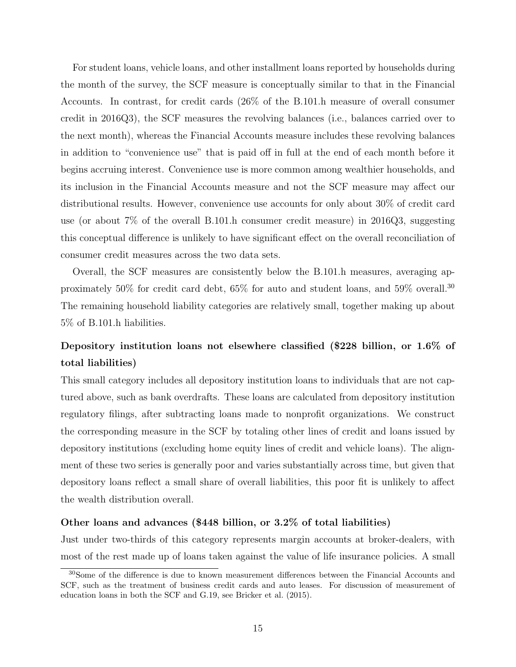For student loans, vehicle loans, and other installment loans reported by households during the month of the survey, the SCF measure is conceptually similar to that in the Financial Accounts. In contrast, for credit cards (26% of the B.101.h measure of overall consumer credit in 2016Q3), the SCF measures the revolving balances (i.e., balances carried over to the next month), whereas the Financial Accounts measure includes these revolving balances in addition to "convenience use" that is paid off in full at the end of each month before it begins accruing interest. Convenience use is more common among wealthier households, and its inclusion in the Financial Accounts measure and not the SCF measure may affect our distributional results. However, convenience use accounts for only about 30% of credit card use (or about 7% of the overall B.101.h consumer credit measure) in 2016Q3, suggesting this conceptual difference is unlikely to have significant effect on the overall reconciliation of consumer credit measures across the two data sets.

Overall, the SCF measures are consistently below the B.101.h measures, averaging approximately 50% for credit card debt, 65% for auto and student loans, and 59% overall.<sup>30</sup> The remaining household liability categories are relatively small, together making up about 5% of B.101.h liabilities.

## Depository institution loans not elsewhere classified (\$228 billion, or 1.6% of total liabilities)

This small category includes all depository institution loans to individuals that are not captured above, such as bank overdrafts. These loans are calculated from depository institution regulatory filings, after subtracting loans made to nonprofit organizations. We construct the corresponding measure in the SCF by totaling other lines of credit and loans issued by depository institutions (excluding home equity lines of credit and vehicle loans). The alignment of these two series is generally poor and varies substantially across time, but given that depository loans reflect a small share of overall liabilities, this poor fit is unlikely to affect the wealth distribution overall.

#### Other loans and advances (\$448 billion, or 3.2% of total liabilities)

Just under two-thirds of this category represents margin accounts at broker-dealers, with most of the rest made up of loans taken against the value of life insurance policies. A small

<sup>30</sup>Some of the difference is due to known measurement differences between the Financial Accounts and SCF, such as the treatment of business credit cards and auto leases. For discussion of measurement of education loans in both the SCF and G.19, see Bricker et al. (2015).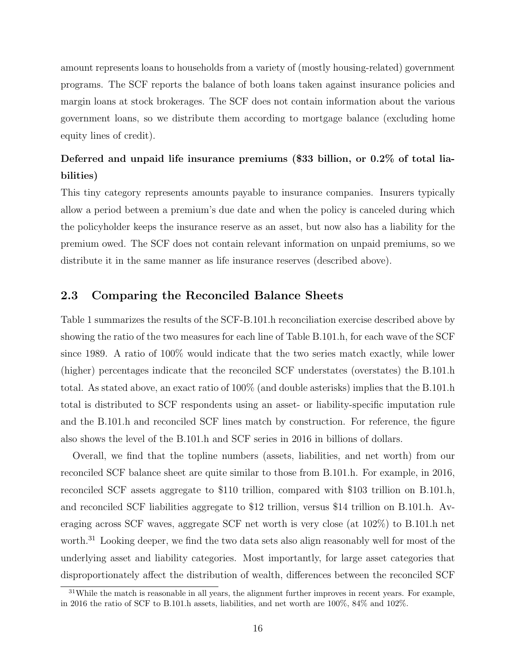amount represents loans to households from a variety of (mostly housing-related) government programs. The SCF reports the balance of both loans taken against insurance policies and margin loans at stock brokerages. The SCF does not contain information about the various government loans, so we distribute them according to mortgage balance (excluding home equity lines of credit).

## Deferred and unpaid life insurance premiums (\$33 billion, or 0.2% of total liabilities)

This tiny category represents amounts payable to insurance companies. Insurers typically allow a period between a premium's due date and when the policy is canceled during which the policyholder keeps the insurance reserve as an asset, but now also has a liability for the premium owed. The SCF does not contain relevant information on unpaid premiums, so we distribute it in the same manner as life insurance reserves (described above).

#### 2.3 Comparing the Reconciled Balance Sheets

Table 1 summarizes the results of the SCF-B.101.h reconciliation exercise described above by showing the ratio of the two measures for each line of Table B.101.h, for each wave of the SCF since 1989. A ratio of 100% would indicate that the two series match exactly, while lower (higher) percentages indicate that the reconciled SCF understates (overstates) the B.101.h total. As stated above, an exact ratio of 100% (and double asterisks) implies that the B.101.h total is distributed to SCF respondents using an asset- or liability-specific imputation rule and the B.101.h and reconciled SCF lines match by construction. For reference, the figure also shows the level of the B.101.h and SCF series in 2016 in billions of dollars.

Overall, we find that the topline numbers (assets, liabilities, and net worth) from our reconciled SCF balance sheet are quite similar to those from B.101.h. For example, in 2016, reconciled SCF assets aggregate to \$110 trillion, compared with \$103 trillion on B.101.h, and reconciled SCF liabilities aggregate to \$12 trillion, versus \$14 trillion on B.101.h. Averaging across SCF waves, aggregate SCF net worth is very close (at 102%) to B.101.h net worth.<sup>31</sup> Looking deeper, we find the two data sets also align reasonably well for most of the underlying asset and liability categories. Most importantly, for large asset categories that disproportionately affect the distribution of wealth, differences between the reconciled SCF

 $31$ While the match is reasonable in all years, the alignment further improves in recent years. For example, in 2016 the ratio of SCF to B.101.h assets, liabilities, and net worth are 100%, 84% and 102%.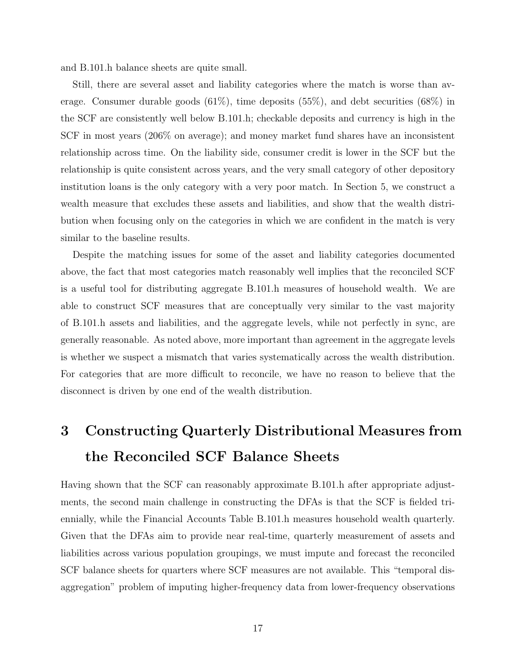and B.101.h balance sheets are quite small.

Still, there are several asset and liability categories where the match is worse than average. Consumer durable goods (61%), time deposits (55%), and debt securities (68%) in the SCF are consistently well below B.101.h; checkable deposits and currency is high in the SCF in most years (206% on average); and money market fund shares have an inconsistent relationship across time. On the liability side, consumer credit is lower in the SCF but the relationship is quite consistent across years, and the very small category of other depository institution loans is the only category with a very poor match. In Section 5, we construct a wealth measure that excludes these assets and liabilities, and show that the wealth distribution when focusing only on the categories in which we are confident in the match is very similar to the baseline results.

Despite the matching issues for some of the asset and liability categories documented above, the fact that most categories match reasonably well implies that the reconciled SCF is a useful tool for distributing aggregate B.101.h measures of household wealth. We are able to construct SCF measures that are conceptually very similar to the vast majority of B.101.h assets and liabilities, and the aggregate levels, while not perfectly in sync, are generally reasonable. As noted above, more important than agreement in the aggregate levels is whether we suspect a mismatch that varies systematically across the wealth distribution. For categories that are more difficult to reconcile, we have no reason to believe that the disconnect is driven by one end of the wealth distribution.

## 3 Constructing Quarterly Distributional Measures from the Reconciled SCF Balance Sheets

Having shown that the SCF can reasonably approximate B.101.h after appropriate adjustments, the second main challenge in constructing the DFAs is that the SCF is fielded triennially, while the Financial Accounts Table B.101.h measures household wealth quarterly. Given that the DFAs aim to provide near real-time, quarterly measurement of assets and liabilities across various population groupings, we must impute and forecast the reconciled SCF balance sheets for quarters where SCF measures are not available. This "temporal disaggregation" problem of imputing higher-frequency data from lower-frequency observations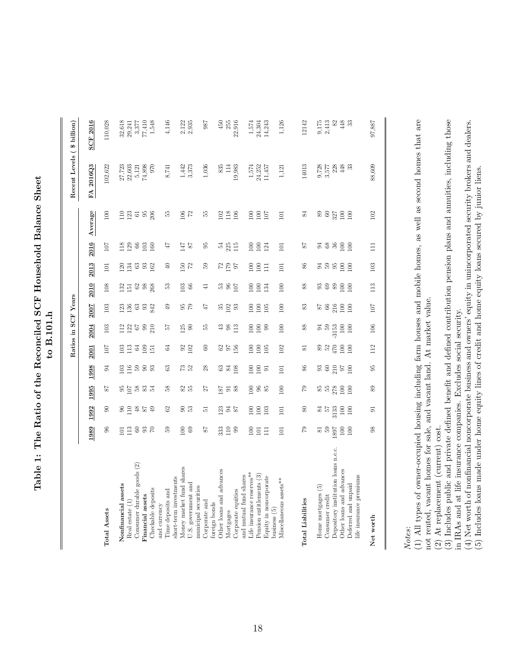Table 1: The Ratio of the Reconciled SCF Household Balance Sheet Table 1: The Ratio of the Reconciled SCF Household Balance Sheet to B.101.h

|                                                |                                                     |                                          |                |                                                 |                   | Ratios in SCF Years                          |               |                  |                                              |                                                                      |                                          | Recent Levels ( \$ billion)               |                                                                            |
|------------------------------------------------|-----------------------------------------------------|------------------------------------------|----------------|-------------------------------------------------|-------------------|----------------------------------------------|---------------|------------------|----------------------------------------------|----------------------------------------------------------------------|------------------------------------------|-------------------------------------------|----------------------------------------------------------------------------|
|                                                | 1989                                                | 1992                                     | 1995           | 1998                                            | 2001              | 2004                                         | 2007          | 2010             | 2013                                         | 2016                                                                 | Average                                  | FA 2016Q3                                 | <b>SCF 2016</b>                                                            |
| <b>Total Assets</b>                            | $96\,$                                              | 8                                        | 78             | $\Im$                                           | 107               | 103                                          | 103           | 108              | $\Xi$                                        | 107                                                                  | 100                                      | 102,622                                   | 110,028                                                                    |
|                                                |                                                     |                                          |                |                                                 |                   |                                              |               |                  |                                              |                                                                      |                                          |                                           |                                                                            |
| Nonfinancial assets                            | $\Xi$                                               |                                          |                |                                                 |                   |                                              | 123           |                  | 120                                          | 118                                                                  |                                          |                                           |                                                                            |
| Real estate (1)                                |                                                     | $\begin{array}{c} 96 \\ 110 \end{array}$ |                |                                                 | $\frac{103}{113}$ |                                              | 136           | 132              | 134                                          |                                                                      |                                          | 27,723<br>22,603                          |                                                                            |
| Consumer durable goods (2)                     |                                                     | $48$                                     |                |                                                 | $64\,$            | $\begin{array}{c} 12 \\ 12 \\ 6 \end{array}$ | $63\,$        | $62\,$           | $\mathbb{S}^3$                               | $\frac{29}{66}$                                                      | $123$ $51$                               |                                           |                                                                            |
| Financial assets                               |                                                     |                                          |                |                                                 |                   | $99$                                         |               |                  |                                              |                                                                      |                                          | $\frac{5,121}{74,898}$                    |                                                                            |
| Checkable deposits                             | $\frac{13}{10}$ & $\frac{20}{10}$ & $\frac{20}{10}$ | 64                                       |                | g g g g g                                       | $\frac{109}{151}$ | 210                                          | 93<br>842     | $\frac{98}{268}$ | $\frac{33}{2}$                               | $\frac{103}{160}$                                                    | $\begin{array}{c} 95 \\ 206 \end{array}$ | 970                                       | $\begin{array}{c} 32,618 \\ 29,241 \\ 3,377 \\ 1,548 \\ 1,548 \end{array}$ |
| and currency                                   |                                                     |                                          |                |                                                 |                   |                                              |               |                  |                                              |                                                                      |                                          |                                           |                                                                            |
| Time deposits and                              | 59                                                  | 3                                        | 38             | 63                                              | 34                | 29                                           | 9             | ్ల               | ə                                            | 47                                                                   | 55                                       | 8,741                                     | 4,146                                                                      |
| short-term investments                         |                                                     |                                          |                |                                                 |                   |                                              |               |                  |                                              |                                                                      |                                          |                                           |                                                                            |
| Money market fund shares                       | $\frac{69}{2}$                                      | <u>ទី ដ</u>                              | 25             | <b>P3</b><br>P <sub>2</sub>                     | $\frac{92}{102}$  | $\frac{125}{90}$                             | 67            | $\frac{103}{66}$ | $^{150}_{\phantom{1}\phantom{1}\phantom{1}}$ | $^{78}_{\phantom{1}\phantom{1}\phantom{1}\phantom{1}\phantom{1}}$ 87 | $^{106}_{72}$                            | 1,442                                     |                                                                            |
| U.S. government and                            |                                                     |                                          |                |                                                 |                   |                                              |               |                  |                                              |                                                                      |                                          | 3,373                                     | $2,122$<br>$2,935$                                                         |
| municipal securities                           |                                                     |                                          |                |                                                 |                   |                                              |               |                  |                                              |                                                                      |                                          |                                           |                                                                            |
| Corporate and                                  | $\sqrt{8}$                                          | 5                                        | 27             | 28                                              | 8                 | БŚ                                           | 47            | $\overline{+}$   | B                                            | 56                                                                   | Ъ,                                       | 1,036                                     | 987                                                                        |
| foreign bonds                                  |                                                     |                                          |                |                                                 |                   |                                              |               |                  |                                              |                                                                      |                                          |                                           |                                                                            |
| Other loans and advances                       | 333                                                 |                                          |                | $rac{3}{84}$                                    |                   | $\begin{array}{c} 43 \\ 98 \end{array}$      | $35$<br>$102$ |                  |                                              |                                                                      | 102                                      | 835                                       | 450                                                                        |
| Mortgages                                      |                                                     |                                          |                |                                                 |                   |                                              |               |                  |                                              |                                                                      |                                          | 114                                       | 255                                                                        |
| Corporate equities                             | $\begin{array}{c} 10 \\ 99 \end{array}$             | $123$ 3 $5$                              | <b>SE 58</b>   | 108                                             | 859               | 113                                          | 93            | 385              | $\frac{20}{20}$                              | $\frac{54}{25}$                                                      | 118<br>106                               | 19,983                                    | 22,916                                                                     |
| and mutual fund shares                         |                                                     |                                          |                |                                                 |                   |                                              |               |                  |                                              |                                                                      |                                          |                                           |                                                                            |
| Life insurance reserves**                      | 100                                                 | 100                                      | $\Xi$          | $\Xi$                                           | 100               | 100                                          | 100           | 100              | 100                                          | 100                                                                  | 100                                      | 1,574                                     | 1,574                                                                      |
| Pension entitlements (3)                       | 101                                                 | $\geq$                                   |                | $\Xi{}$                                         | 100               | 100                                          | 100           | 100              | 100                                          | $100\,$                                                              |                                          |                                           |                                                                            |
|                                                |                                                     |                                          | ති කි          |                                                 |                   |                                              |               |                  |                                              |                                                                      | $\frac{100}{107}$                        | $24,252$<br>11,457                        | $24,304$<br>$14,243$                                                       |
| Equity in noncorporate<br>$max$                | $\Box$                                              | 103                                      |                | $\overline{5}$                                  | 105               | 99                                           | 105           | 134              | $\Xi$                                        | 124                                                                  |                                          |                                           |                                                                            |
| Miscellaneous assets**                         | 101                                                 | 101                                      | 100            | 101                                             | 102               | 100                                          | 100           | 100              | 101                                          | 101                                                                  | 101                                      | 1,121                                     | 1,126                                                                      |
|                                                |                                                     |                                          |                |                                                 |                   |                                              |               |                  |                                              |                                                                      |                                          |                                           |                                                                            |
| <b>Total Liabilities</b>                       | $\sqrt{2}$                                          | $\rm 80$                                 | 52             | 86                                              | 51                | 88                                           | 83            | 88               | 86                                           | 78                                                                   | 84                                       | 14013                                     | 12142                                                                      |
| Home mortgages (5)                             |                                                     | 24                                       |                |                                                 |                   | 2                                            | $\sqrt{8}$    |                  |                                              |                                                                      | $\rm 68$                                 | 9,728                                     |                                                                            |
| Consumer credit                                | $\frac{6}{2}$                                       | 29                                       |                | $_{\rm g}^3$ $_{\rm g}$                         | 82 G              | $65$                                         | 8             |                  |                                              |                                                                      |                                          | 3,577                                     |                                                                            |
| Depository institution loans n.e.c.            | 1681                                                | 3133                                     | <b>35 x 20</b> |                                                 |                   | $-3153$                                      | 216           |                  | 3339                                         | 3889                                                                 |                                          |                                           |                                                                            |
| Other loans and advances                       | $100\,$                                             | $100\,$                                  |                | $\begin{array}{c} 210 \\ 97 \\ 100 \end{array}$ | 100               | 100                                          |               | <b>38899</b>     |                                              |                                                                      | 88,80                                    | $\begin{array}{c} 228 \\ 448 \end{array}$ | $0.175$<br>$2.413$<br>$4.43$<br>$4.33$<br>$3.3$                            |
| life insurance premiums<br>Deferred and unpaid | 100                                                 | $100\,$                                  | $\geq$         |                                                 | 100               | 100                                          | 100           |                  | $\geq$                                       | $\geq$                                                               |                                          | 33                                        |                                                                            |
|                                                |                                                     |                                          |                |                                                 |                   |                                              |               |                  |                                              |                                                                      |                                          |                                           |                                                                            |
| Net worth                                      | $\frac{8}{3}$                                       | $\overline{5}$                           | 89             | 50                                              | 112               | 106                                          | 107           | 113              | 103                                          | $\Xi$                                                                | 102                                      | 88,609                                    | 97,887                                                                     |

Notes:<br>(1) All types of owner-occupied housing including farm houses and mobile homes, as well as second homes that are (1) All types of owner-occupied housing including farm houses and mobile homes, as well as second homes that are not rented, vacant homes for sale, and vacant land. At market value. not rented, vacant homes for sale, and vacant land. At market value.

(2) At replacement (current) cost.

(2) At replacement (current)  $\cos t$ .<br>(3) Includes public and private defined benefit and defined contribution pension plans and annuities, including those (3) Includes public and private defined benefit and defined contribution pension plans and annuities, including those in IRAs and at life insurance companies. Excludes social security. in IRAs and at life insurance companies. Excludes social security.

(4) Net worth of nonfinancial noncorporate business and owners' equity in unincorporated security brokers and dealers.<br>(5) Includes loans made under home equity lines of credit and home equity loans secured by junior lien (4) Net worth of nonfinancial noncorporate business and owners' equity in unincorporated security brokers and dealers.

(5) Includes loans made under home equity lines of credit and home equity loans secured by junior liens.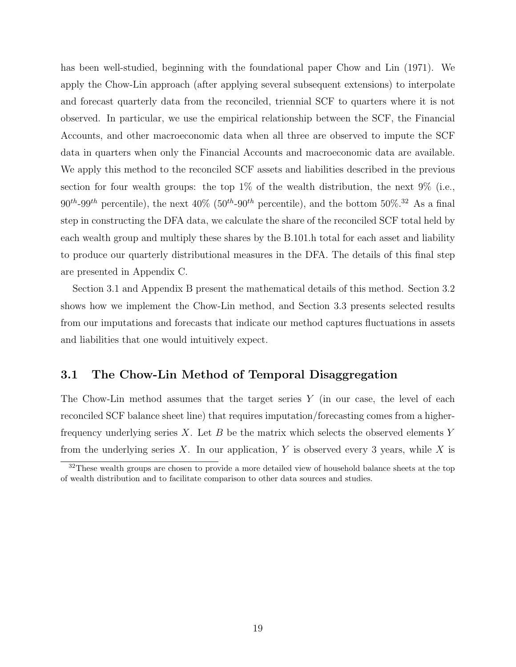has been well-studied, beginning with the foundational paper Chow and Lin (1971). We apply the Chow-Lin approach (after applying several subsequent extensions) to interpolate and forecast quarterly data from the reconciled, triennial SCF to quarters where it is not observed. In particular, we use the empirical relationship between the SCF, the Financial Accounts, and other macroeconomic data when all three are observed to impute the SCF data in quarters when only the Financial Accounts and macroeconomic data are available. We apply this method to the reconciled SCF assets and liabilities described in the previous section for four wealth groups: the top  $1\%$  of the wealth distribution, the next  $9\%$  (i.e.,  $90^{th}$ -99<sup>th</sup> percentile), the next  $40\%$  ( $50^{th}$ -90<sup>th</sup> percentile), and the bottom  $50\%$ <sup>32</sup> As a final step in constructing the DFA data, we calculate the share of the reconciled SCF total held by each wealth group and multiply these shares by the B.101.h total for each asset and liability to produce our quarterly distributional measures in the DFA. The details of this final step are presented in Appendix C.

Section 3.1 and Appendix B present the mathematical details of this method. Section 3.2 shows how we implement the Chow-Lin method, and Section 3.3 presents selected results from our imputations and forecasts that indicate our method captures fluctuations in assets and liabilities that one would intuitively expect.

#### 3.1 The Chow-Lin Method of Temporal Disaggregation

The Chow-Lin method assumes that the target series  $Y$  (in our case, the level of each reconciled SCF balance sheet line) that requires imputation/forecasting comes from a higherfrequency underlying series X. Let B be the matrix which selects the observed elements Y from the underlying series  $X$ . In our application, Y is observed every 3 years, while X is

<sup>&</sup>lt;sup>32</sup>These wealth groups are chosen to provide a more detailed view of household balance sheets at the top of wealth distribution and to facilitate comparison to other data sources and studies.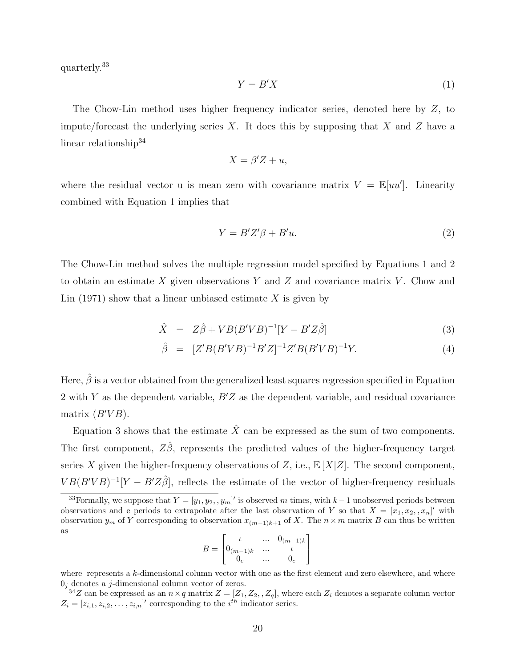quarterly.<sup>33</sup>

$$
Y = B'X \tag{1}
$$

The Chow-Lin method uses higher frequency indicator series, denoted here by Z, to impute/forecast the underlying series X. It does this by supposing that X and Z have a linear relationship<sup>34</sup>

$$
X = \beta' Z + u,
$$

where the residual vector u is mean zero with covariance matrix  $V = \mathbb{E}[uu']$ . Linearity combined with Equation 1 implies that

$$
Y = B'Z'\beta + B'u.
$$
\n<sup>(2)</sup>

The Chow-Lin method solves the multiple regression model specified by Equations 1 and 2 to obtain an estimate X given observations Y and Z and covariance matrix V. Chow and Lin  $(1971)$  show that a linear unbiased estimate X is given by

$$
\hat{X} = Z\hat{\beta} + VB(B'VB)^{-1}[Y - B'Z\hat{\beta}] \tag{3}
$$

$$
\hat{\beta} = [Z'B(B'VB)^{-1}B'Z]^{-1}Z'B(B'VB)^{-1}Y. \tag{4}
$$

Here,  $\hat{\beta}$  is a vector obtained from the generalized least squares regression specified in Equation 2 with Y as the dependent variable,  $B'Z$  as the dependent variable, and residual covariance matrix  $(B'VB)$ .

Equation 3 shows that the estimate  $\hat{X}$  can be expressed as the sum of two components. The first component,  $Z\hat{\beta}$ , represents the predicted values of the higher-frequency target series X given the higher-frequency observations of Z, i.e.,  $\mathbb{E}[X|Z]$ . The second component,  $VB(B'VB)^{-1}[Y - B'Z\hat{\beta}],$  reflects the estimate of the vector of higher-frequency residuals

$$
B = \begin{bmatrix} t & \dots & 0_{(m-1)k} \\ 0_{(m-1)k} & \dots & t \\ 0_e & \dots & 0_e \end{bmatrix}
$$

where represents a  $k$ -dimensional column vector with one as the first element and zero elsewhere, and where  $0<sub>j</sub>$  denotes a j-dimensional column vector of zeros.

<sup>&</sup>lt;sup>33</sup>Formally, we suppose that  $Y = [y_1, y_2, y_m]'$  is observed m times, with  $k-1$  unobserved periods between observations and e periods to extrapolate after the last observation of Y so that  $X = [x_1, x_2, , x_n]'$  with observation  $y_m$  of Y corresponding to observation  $x_{(m-1)k+1}$  of X. The  $n \times m$  matrix B can thus be written as

 $^{34}Z$  can be expressed as an  $n \times q$  matrix  $Z = [Z_1, Z_2, , Z_q]$ , where each  $Z_i$  denotes a separate column vector  $Z_i = [z_{i,1}, z_{i,2}, \ldots, z_{i,n}]'$  corresponding to the  $i^{th}$  indicator series.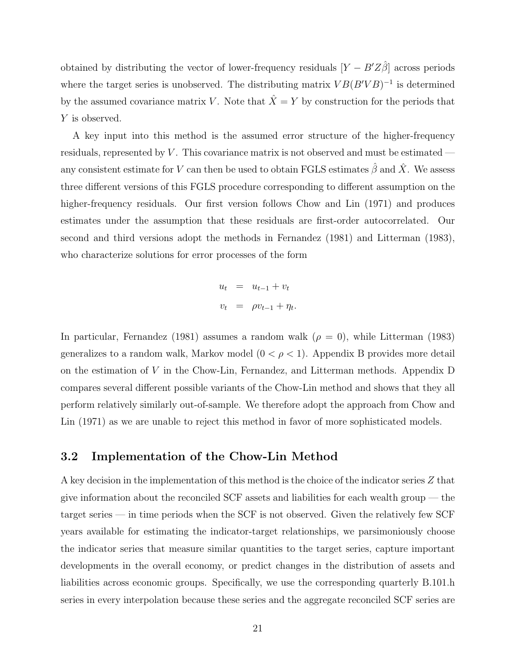obtained by distributing the vector of lower-frequency residuals  $[Y - B'Z\hat{\beta}]$  across periods where the target series is unobserved. The distributing matrix  $VB(B'VB)^{-1}$  is determined by the assumed covariance matrix V. Note that  $\hat{X} = Y$  by construction for the periods that Y is observed.

A key input into this method is the assumed error structure of the higher-frequency residuals, represented by  $V$ . This covariance matrix is not observed and must be estimated any consistent estimate for V can then be used to obtain FGLS estimates  $\hat{\beta}$  and  $\hat{X}$ . We assess three different versions of this FGLS procedure corresponding to different assumption on the higher-frequency residuals. Our first version follows Chow and Lin (1971) and produces estimates under the assumption that these residuals are first-order autocorrelated. Our second and third versions adopt the methods in Fernandez (1981) and Litterman (1983), who characterize solutions for error processes of the form

$$
u_t = u_{t-1} + v_t
$$
  

$$
v_t = \rho v_{t-1} + \eta_t.
$$

In particular, Fernandez (1981) assumes a random walk  $(\rho = 0)$ , while Litterman (1983) generalizes to a random walk, Markov model  $(0 < \rho < 1)$ . Appendix B provides more detail on the estimation of V in the Chow-Lin, Fernandez, and Litterman methods. Appendix D compares several different possible variants of the Chow-Lin method and shows that they all perform relatively similarly out-of-sample. We therefore adopt the approach from Chow and Lin (1971) as we are unable to reject this method in favor of more sophisticated models.

#### 3.2 Implementation of the Chow-Lin Method

A key decision in the implementation of this method is the choice of the indicator series Z that give information about the reconciled SCF assets and liabilities for each wealth group — the target series — in time periods when the SCF is not observed. Given the relatively few SCF years available for estimating the indicator-target relationships, we parsimoniously choose the indicator series that measure similar quantities to the target series, capture important developments in the overall economy, or predict changes in the distribution of assets and liabilities across economic groups. Specifically, we use the corresponding quarterly B.101.h series in every interpolation because these series and the aggregate reconciled SCF series are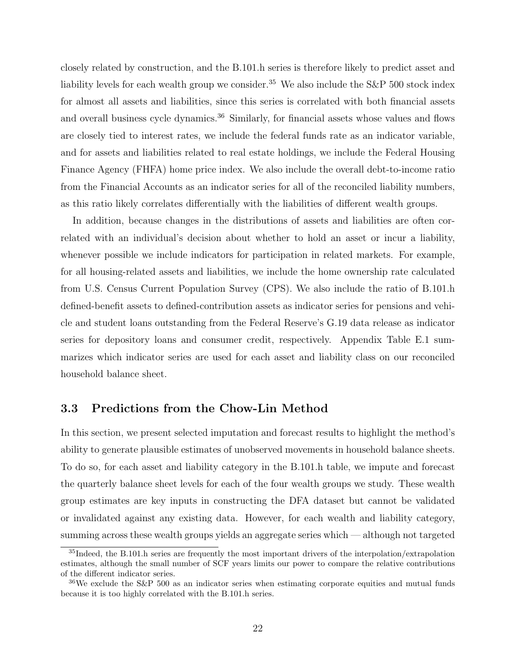closely related by construction, and the B.101.h series is therefore likely to predict asset and liability levels for each wealth group we consider.<sup>35</sup> We also include the S&P 500 stock index for almost all assets and liabilities, since this series is correlated with both financial assets and overall business cycle dynamics.<sup>36</sup> Similarly, for financial assets whose values and flows are closely tied to interest rates, we include the federal funds rate as an indicator variable, and for assets and liabilities related to real estate holdings, we include the Federal Housing Finance Agency (FHFA) home price index. We also include the overall debt-to-income ratio from the Financial Accounts as an indicator series for all of the reconciled liability numbers, as this ratio likely correlates differentially with the liabilities of different wealth groups.

In addition, because changes in the distributions of assets and liabilities are often correlated with an individual's decision about whether to hold an asset or incur a liability, whenever possible we include indicators for participation in related markets. For example, for all housing-related assets and liabilities, we include the home ownership rate calculated from U.S. Census Current Population Survey (CPS). We also include the ratio of B.101.h defined-benefit assets to defined-contribution assets as indicator series for pensions and vehicle and student loans outstanding from the Federal Reserve's G.19 data release as indicator series for depository loans and consumer credit, respectively. Appendix Table E.1 summarizes which indicator series are used for each asset and liability class on our reconciled household balance sheet.

#### 3.3 Predictions from the Chow-Lin Method

In this section, we present selected imputation and forecast results to highlight the method's ability to generate plausible estimates of unobserved movements in household balance sheets. To do so, for each asset and liability category in the B.101.h table, we impute and forecast the quarterly balance sheet levels for each of the four wealth groups we study. These wealth group estimates are key inputs in constructing the DFA dataset but cannot be validated or invalidated against any existing data. However, for each wealth and liability category, summing across these wealth groups yields an aggregate series which — although not targeted

<sup>&</sup>lt;sup>35</sup>Indeed, the B.101.h series are frequently the most important drivers of the interpolation/extrapolation estimates, although the small number of SCF years limits our power to compare the relative contributions of the different indicator series.

 $36\text{We exclude the S\&P}$  500 as an indicator series when estimating corporate equities and mutual funds because it is too highly correlated with the B.101.h series.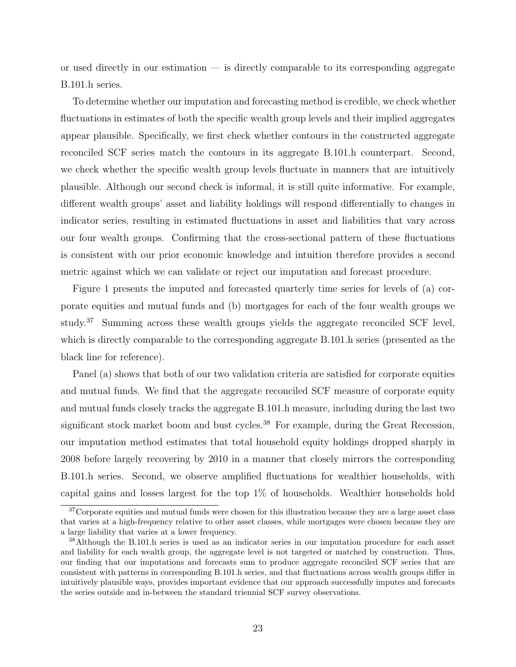or used directly in our estimation — is directly comparable to its corresponding aggregate B.101.h series.

To determine whether our imputation and forecasting method is credible, we check whether fluctuations in estimates of both the specific wealth group levels and their implied aggregates appear plausible. Specifically, we first check whether contours in the constructed aggregate reconciled SCF series match the contours in its aggregate B.101.h counterpart. Second, we check whether the specific wealth group levels fluctuate in manners that are intuitively plausible. Although our second check is informal, it is still quite informative. For example, different wealth groups' asset and liability holdings will respond differentially to changes in indicator series, resulting in estimated fluctuations in asset and liabilities that vary across our four wealth groups. Confirming that the cross-sectional pattern of these fluctuations is consistent with our prior economic knowledge and intuition therefore provides a second metric against which we can validate or reject our imputation and forecast procedure.

Figure 1 presents the imputed and forecasted quarterly time series for levels of (a) corporate equities and mutual funds and (b) mortgages for each of the four wealth groups we study.<sup>37</sup> Summing across these wealth groups yields the aggregate reconciled SCF level, which is directly comparable to the corresponding aggregate B.101.h series (presented as the black line for reference).

Panel (a) shows that both of our two validation criteria are satisfied for corporate equities and mutual funds. We find that the aggregate reconciled SCF measure of corporate equity and mutual funds closely tracks the aggregate B.101.h measure, including during the last two significant stock market boom and bust cycles.<sup>38</sup> For example, during the Great Recession, our imputation method estimates that total household equity holdings dropped sharply in 2008 before largely recovering by 2010 in a manner that closely mirrors the corresponding B.101.h series. Second, we observe amplified fluctuations for wealthier households, with capital gains and losses largest for the top 1% of households. Wealthier households hold

<sup>&</sup>lt;sup>37</sup>Corporate equities and mutual funds were chosen for this illustration because they are a large asset class that varies at a high-frequency relative to other asset classes, while mortgages were chosen because they are a large liability that varies at a lower frequency.

<sup>38</sup>Although the B.101.h series is used as an indicator series in our imputation procedure for each asset and liability for each wealth group, the aggregate level is not targeted or matched by construction. Thus, our finding that our imputations and forecasts sum to produce aggregate reconciled SCF series that are consistent with patterns in corresponding B.101.h series, and that fluctuations across wealth groups differ in intuitively plausible ways, provides important evidence that our approach successfully imputes and forecasts the series outside and in-between the standard triennial SCF survey observations.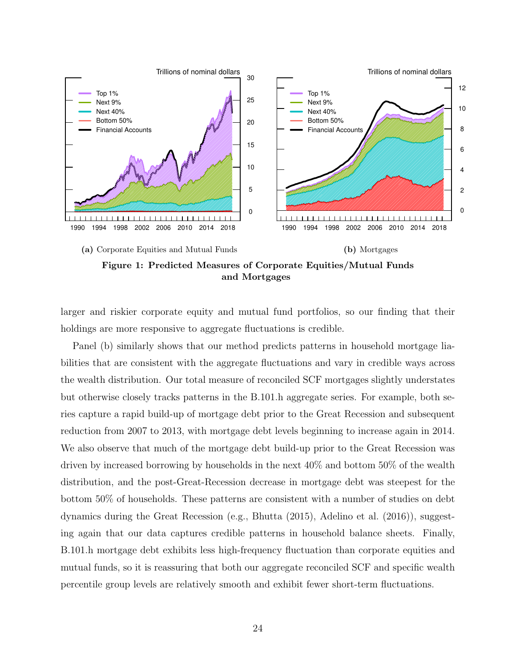

Figure 1: Predicted Measures of Corporate Equities/Mutual Funds and Mortgages

larger and riskier corporate equity and mutual fund portfolios, so our finding that their holdings are more responsive to aggregate fluctuations is credible.

Panel (b) similarly shows that our method predicts patterns in household mortgage liabilities that are consistent with the aggregate fluctuations and vary in credible ways across the wealth distribution. Our total measure of reconciled SCF mortgages slightly understates but otherwise closely tracks patterns in the B.101.h aggregate series. For example, both series capture a rapid build-up of mortgage debt prior to the Great Recession and subsequent reduction from 2007 to 2013, with mortgage debt levels beginning to increase again in 2014. We also observe that much of the mortgage debt build-up prior to the Great Recession was driven by increased borrowing by households in the next 40% and bottom 50% of the wealth distribution, and the post-Great-Recession decrease in mortgage debt was steepest for the bottom 50% of households. These patterns are consistent with a number of studies on debt dynamics during the Great Recession (e.g., Bhutta (2015), Adelino et al. (2016)), suggesting again that our data captures credible patterns in household balance sheets. Finally, B.101.h mortgage debt exhibits less high-frequency fluctuation than corporate equities and mutual funds, so it is reassuring that both our aggregate reconciled SCF and specific wealth percentile group levels are relatively smooth and exhibit fewer short-term fluctuations.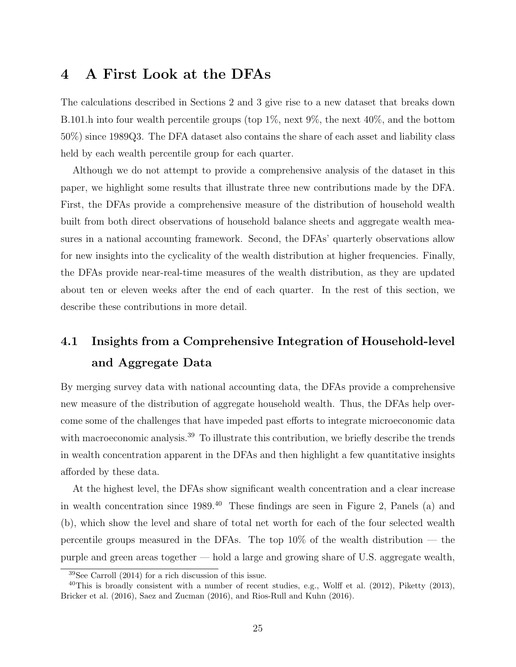## 4 A First Look at the DFAs

The calculations described in Sections 2 and 3 give rise to a new dataset that breaks down B.101.h into four wealth percentile groups (top 1%, next 9%, the next 40%, and the bottom 50%) since 1989Q3. The DFA dataset also contains the share of each asset and liability class held by each wealth percentile group for each quarter.

Although we do not attempt to provide a comprehensive analysis of the dataset in this paper, we highlight some results that illustrate three new contributions made by the DFA. First, the DFAs provide a comprehensive measure of the distribution of household wealth built from both direct observations of household balance sheets and aggregate wealth measures in a national accounting framework. Second, the DFAs' quarterly observations allow for new insights into the cyclicality of the wealth distribution at higher frequencies. Finally, the DFAs provide near-real-time measures of the wealth distribution, as they are updated about ten or eleven weeks after the end of each quarter. In the rest of this section, we describe these contributions in more detail.

## 4.1 Insights from a Comprehensive Integration of Household-level and Aggregate Data

By merging survey data with national accounting data, the DFAs provide a comprehensive new measure of the distribution of aggregate household wealth. Thus, the DFAs help overcome some of the challenges that have impeded past efforts to integrate microeconomic data with macroeconomic analysis.<sup>39</sup> To illustrate this contribution, we briefly describe the trends in wealth concentration apparent in the DFAs and then highlight a few quantitative insights afforded by these data.

At the highest level, the DFAs show significant wealth concentration and a clear increase in wealth concentration since 1989.<sup>40</sup> These findings are seen in Figure 2, Panels (a) and (b), which show the level and share of total net worth for each of the four selected wealth percentile groups measured in the DFAs. The top  $10\%$  of the wealth distribution — the purple and green areas together — hold a large and growing share of U.S. aggregate wealth,

<sup>39</sup>See Carroll (2014) for a rich discussion of this issue.

<sup>&</sup>lt;sup>40</sup>This is broadly consistent with a number of recent studies, e.g., Wolff et al.  $(2012)$ , Piketty  $(2013)$ , Bricker et al. (2016), Saez and Zucman (2016), and Rios-Rull and Kuhn (2016).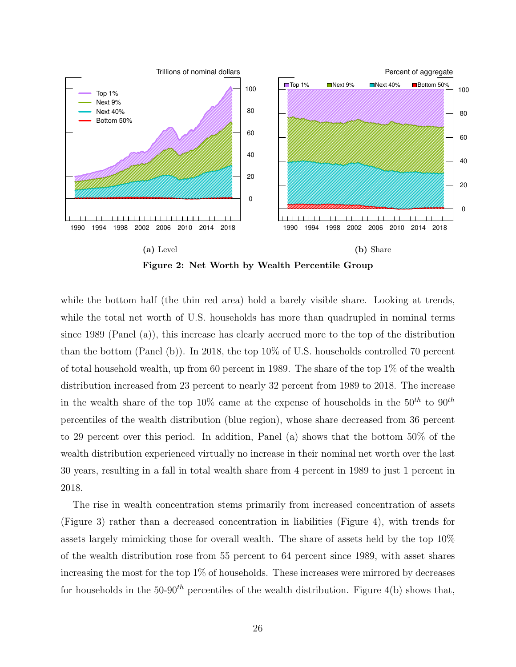

Figure 2: Net Worth by Wealth Percentile Group

while the bottom half (the thin red area) hold a barely visible share. Looking at trends, while the total net worth of U.S. households has more than quadrupled in nominal terms since 1989 (Panel (a)), this increase has clearly accrued more to the top of the distribution than the bottom (Panel (b)). In 2018, the top 10% of U.S. households controlled 70 percent of total household wealth, up from 60 percent in 1989. The share of the top 1% of the wealth distribution increased from 23 percent to nearly 32 percent from 1989 to 2018. The increase in the wealth share of the top 10% came at the expense of households in the  $50^{th}$  to  $90^{th}$ percentiles of the wealth distribution (blue region), whose share decreased from 36 percent to 29 percent over this period. In addition, Panel (a) shows that the bottom 50% of the wealth distribution experienced virtually no increase in their nominal net worth over the last 30 years, resulting in a fall in total wealth share from 4 percent in 1989 to just 1 percent in 2018.

The rise in wealth concentration stems primarily from increased concentration of assets (Figure 3) rather than a decreased concentration in liabilities (Figure 4), with trends for assets largely mimicking those for overall wealth. The share of assets held by the top 10% of the wealth distribution rose from 55 percent to 64 percent since 1989, with asset shares increasing the most for the top 1% of households. These increases were mirrored by decreases for households in the  $50-90<sup>th</sup>$  percentiles of the wealth distribution. Figure 4(b) shows that,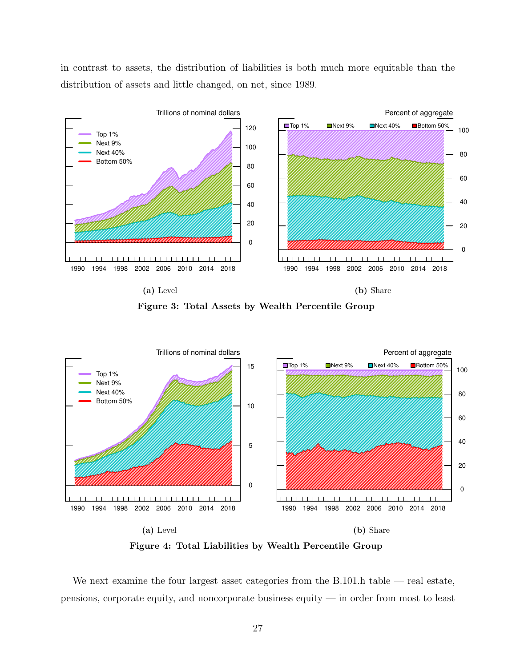in contrast to assets, the distribution of liabilities is both much more equitable than the distribution of assets and little changed, on net, since 1989.



Figure 3: Total Assets by Wealth Percentile Group



Figure 4: Total Liabilities by Wealth Percentile Group

We next examine the four largest asset categories from the B.101.h table — real estate, pensions, corporate equity, and noncorporate business equity — in order from most to least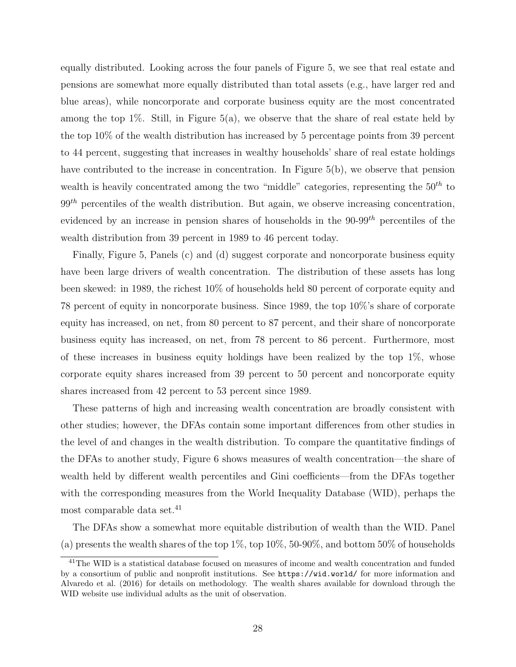equally distributed. Looking across the four panels of Figure 5, we see that real estate and pensions are somewhat more equally distributed than total assets (e.g., have larger red and blue areas), while noncorporate and corporate business equity are the most concentrated among the top  $1\%$ . Still, in Figure 5(a), we observe that the share of real estate held by the top 10% of the wealth distribution has increased by 5 percentage points from 39 percent to 44 percent, suggesting that increases in wealthy households' share of real estate holdings have contributed to the increase in concentration. In Figure 5(b), we observe that pension wealth is heavily concentrated among the two "middle" categories, representing the  $50<sup>th</sup>$  to  $99<sup>th</sup>$  percentiles of the wealth distribution. But again, we observe increasing concentration, evidenced by an increase in pension shares of households in the  $90-99<sup>th</sup>$  percentiles of the wealth distribution from 39 percent in 1989 to 46 percent today.

Finally, Figure 5, Panels (c) and (d) suggest corporate and noncorporate business equity have been large drivers of wealth concentration. The distribution of these assets has long been skewed: in 1989, the richest 10% of households held 80 percent of corporate equity and 78 percent of equity in noncorporate business. Since 1989, the top 10%'s share of corporate equity has increased, on net, from 80 percent to 87 percent, and their share of noncorporate business equity has increased, on net, from 78 percent to 86 percent. Furthermore, most of these increases in business equity holdings have been realized by the top  $1\%$ , whose corporate equity shares increased from 39 percent to 50 percent and noncorporate equity shares increased from 42 percent to 53 percent since 1989.

These patterns of high and increasing wealth concentration are broadly consistent with other studies; however, the DFAs contain some important differences from other studies in the level of and changes in the wealth distribution. To compare the quantitative findings of the DFAs to another study, Figure 6 shows measures of wealth concentration—the share of wealth held by different wealth percentiles and Gini coefficients—from the DFAs together with the corresponding measures from the World Inequality Database (WID), perhaps the most comparable data set.<sup>41</sup>

The DFAs show a somewhat more equitable distribution of wealth than the WID. Panel (a) presents the wealth shares of the top  $1\%$ , top  $10\%$ ,  $50-90\%$ , and bottom  $50\%$  of households

<sup>&</sup>lt;sup>41</sup>The WID is a statistical database focused on measures of income and wealth concentration and funded by a consortium of public and nonprofit institutions. See https://wid.world/ for more information and Alvaredo et al. (2016) for details on methodology. The wealth shares available for download through the WID website use individual adults as the unit of observation.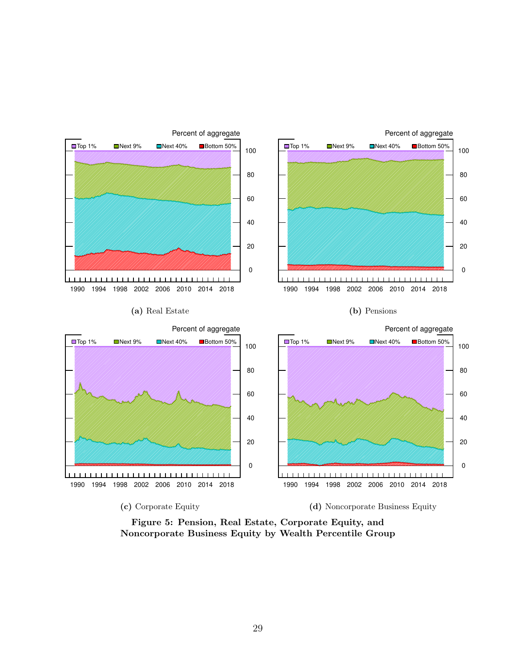

Figure 5: Pension, Real Estate, Corporate Equity, and Noncorporate Business Equity by Wealth Percentile Group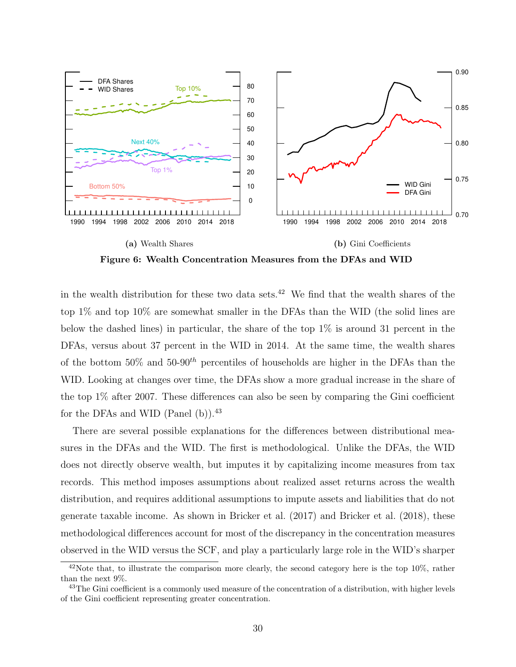

Figure 6: Wealth Concentration Measures from the DFAs and WID

in the wealth distribution for these two data sets.<sup>42</sup> We find that the wealth shares of the top 1% and top 10% are somewhat smaller in the DFAs than the WID (the solid lines are below the dashed lines) in particular, the share of the top 1% is around 31 percent in the DFAs, versus about 37 percent in the WID in 2014. At the same time, the wealth shares of the bottom  $50\%$  and  $50-90<sup>th</sup>$  percentiles of households are higher in the DFAs than the WID. Looking at changes over time, the DFAs show a more gradual increase in the share of the top 1% after 2007. These differences can also be seen by comparing the Gini coefficient for the DFAs and WID (Panel  $(b)$ ).<sup>43</sup>

There are several possible explanations for the differences between distributional measures in the DFAs and the WID. The first is methodological. Unlike the DFAs, the WID does not directly observe wealth, but imputes it by capitalizing income measures from tax records. This method imposes assumptions about realized asset returns across the wealth distribution, and requires additional assumptions to impute assets and liabilities that do not generate taxable income. As shown in Bricker et al. (2017) and Bricker et al. (2018), these methodological differences account for most of the discrepancy in the concentration measures observed in the WID versus the SCF, and play a particularly large role in the WID's sharper

<sup>&</sup>lt;sup>42</sup>Note that, to illustrate the comparison more clearly, the second category here is the top 10%, rather than the next 9%.

<sup>&</sup>lt;sup>43</sup>The Gini coefficient is a commonly used measure of the concentration of a distribution, with higher levels of the Gini coefficient representing greater concentration.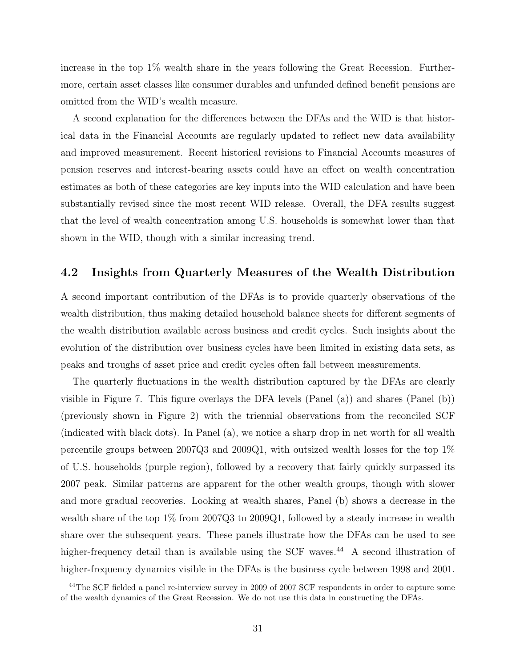increase in the top 1% wealth share in the years following the Great Recession. Furthermore, certain asset classes like consumer durables and unfunded defined benefit pensions are omitted from the WID's wealth measure.

A second explanation for the differences between the DFAs and the WID is that historical data in the Financial Accounts are regularly updated to reflect new data availability and improved measurement. Recent historical revisions to Financial Accounts measures of pension reserves and interest-bearing assets could have an effect on wealth concentration estimates as both of these categories are key inputs into the WID calculation and have been substantially revised since the most recent WID release. Overall, the DFA results suggest that the level of wealth concentration among U.S. households is somewhat lower than that shown in the WID, though with a similar increasing trend.

#### 4.2 Insights from Quarterly Measures of the Wealth Distribution

A second important contribution of the DFAs is to provide quarterly observations of the wealth distribution, thus making detailed household balance sheets for different segments of the wealth distribution available across business and credit cycles. Such insights about the evolution of the distribution over business cycles have been limited in existing data sets, as peaks and troughs of asset price and credit cycles often fall between measurements.

The quarterly fluctuations in the wealth distribution captured by the DFAs are clearly visible in Figure 7. This figure overlays the DFA levels (Panel (a)) and shares (Panel (b)) (previously shown in Figure 2) with the triennial observations from the reconciled SCF (indicated with black dots). In Panel (a), we notice a sharp drop in net worth for all wealth percentile groups between 2007Q3 and 2009Q1, with outsized wealth losses for the top 1% of U.S. households (purple region), followed by a recovery that fairly quickly surpassed its 2007 peak. Similar patterns are apparent for the other wealth groups, though with slower and more gradual recoveries. Looking at wealth shares, Panel (b) shows a decrease in the wealth share of the top 1% from 2007Q3 to 2009Q1, followed by a steady increase in wealth share over the subsequent years. These panels illustrate how the DFAs can be used to see higher-frequency detail than is available using the SCF waves.<sup>44</sup> A second illustration of higher-frequency dynamics visible in the DFAs is the business cycle between 1998 and 2001.

<sup>44</sup>The SCF fielded a panel re-interview survey in 2009 of 2007 SCF respondents in order to capture some of the wealth dynamics of the Great Recession. We do not use this data in constructing the DFAs.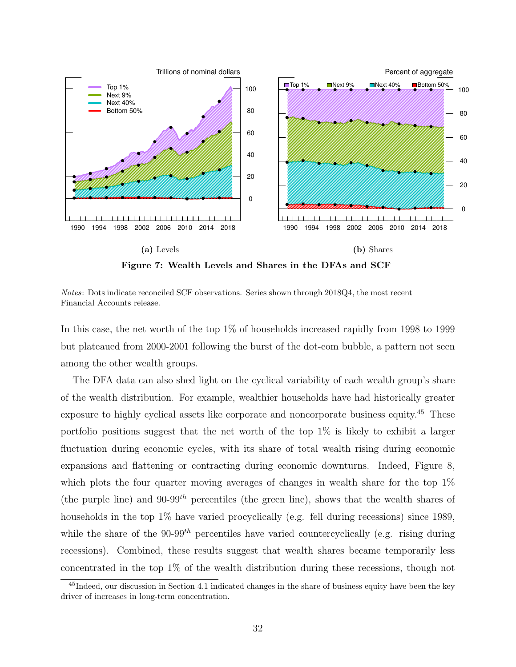

Figure 7: Wealth Levels and Shares in the DFAs and SCF

Notes: Dots indicate reconciled SCF observations. Series shown through 2018Q4, the most recent Financial Accounts release.

In this case, the net worth of the top 1% of households increased rapidly from 1998 to 1999 but plateaued from 2000-2001 following the burst of the dot-com bubble, a pattern not seen among the other wealth groups.

The DFA data can also shed light on the cyclical variability of each wealth group's share of the wealth distribution. For example, wealthier households have had historically greater exposure to highly cyclical assets like corporate and noncorporate business equity.<sup>45</sup> These portfolio positions suggest that the net worth of the top  $1\%$  is likely to exhibit a larger fluctuation during economic cycles, with its share of total wealth rising during economic expansions and flattening or contracting during economic downturns. Indeed, Figure 8, which plots the four quarter moving averages of changes in wealth share for the top  $1\%$ (the purple line) and 90-99<sup>th</sup> percentiles (the green line), shows that the wealth shares of households in the top 1% have varied procyclically (e.g. fell during recessions) since 1989, while the share of the  $90-99$ <sup>th</sup> percentiles have varied countercyclically (e.g. rising during recessions). Combined, these results suggest that wealth shares became temporarily less concentrated in the top 1% of the wealth distribution during these recessions, though not

<sup>45</sup>Indeed, our discussion in Section 4.1 indicated changes in the share of business equity have been the key driver of increases in long-term concentration.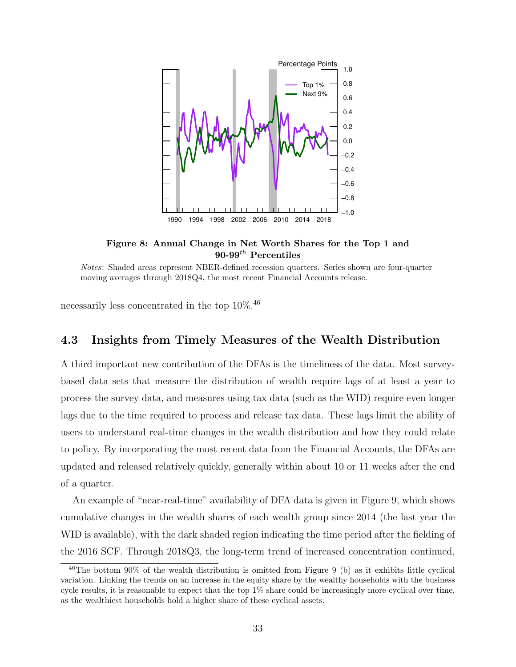

Figure 8: Annual Change in Net Worth Shares for the Top 1 and 90-99 $^{th}$  Percentiles

Notes: Shaded areas represent NBER-defined recession quarters. Series shown are four-quarter moving averages through 2018Q4, the most recent Financial Accounts release.

necessarily less concentrated in the top 10%.<sup>46</sup>

#### 4.3 Insights from Timely Measures of the Wealth Distribution

A third important new contribution of the DFAs is the timeliness of the data. Most surveybased data sets that measure the distribution of wealth require lags of at least a year to process the survey data, and measures using tax data (such as the WID) require even longer lags due to the time required to process and release tax data. These lags limit the ability of users to understand real-time changes in the wealth distribution and how they could relate to policy. By incorporating the most recent data from the Financial Accounts, the DFAs are updated and released relatively quickly, generally within about 10 or 11 weeks after the end of a quarter.

An example of "near-real-time" availability of DFA data is given in Figure 9, which shows cumulative changes in the wealth shares of each wealth group since 2014 (the last year the WID is available), with the dark shaded region indicating the time period after the fielding of the 2016 SCF. Through 2018Q3, the long-term trend of increased concentration continued,

<sup>46</sup>The bottom 90% of the wealth distribution is omitted from Figure 9 (b) as it exhibits little cyclical variation. Linking the trends on an increase in the equity share by the wealthy households with the business cycle results, it is reasonable to expect that the top 1% share could be increasingly more cyclical over time, as the wealthiest households hold a higher share of these cyclical assets.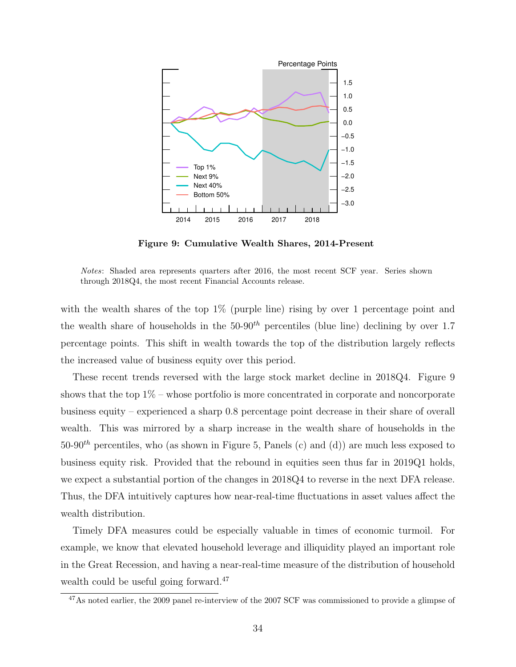

Figure 9: Cumulative Wealth Shares, 2014-Present

Notes: Shaded area represents quarters after 2016, the most recent SCF year. Series shown through 2018Q4, the most recent Financial Accounts release.

with the wealth shares of the top  $1\%$  (purple line) rising by over 1 percentage point and the wealth share of households in the  $50-90<sup>th</sup>$  percentiles (blue line) declining by over 1.7 percentage points. This shift in wealth towards the top of the distribution largely reflects the increased value of business equity over this period.

These recent trends reversed with the large stock market decline in 2018Q4. Figure 9 shows that the top  $1\%$  – whose portfolio is more concentrated in corporate and noncorporate business equity – experienced a sharp 0.8 percentage point decrease in their share of overall wealth. This was mirrored by a sharp increase in the wealth share of households in the 50-90<sup>th</sup> percentiles, who (as shown in Figure 5, Panels (c) and (d)) are much less exposed to business equity risk. Provided that the rebound in equities seen thus far in 2019Q1 holds, we expect a substantial portion of the changes in 2018Q4 to reverse in the next DFA release. Thus, the DFA intuitively captures how near-real-time fluctuations in asset values affect the wealth distribution.

Timely DFA measures could be especially valuable in times of economic turmoil. For example, we know that elevated household leverage and illiquidity played an important role in the Great Recession, and having a near-real-time measure of the distribution of household wealth could be useful going forward.<sup>47</sup>

<sup>&</sup>lt;sup>47</sup>As noted earlier, the 2009 panel re-interview of the 2007 SCF was commissioned to provide a glimpse of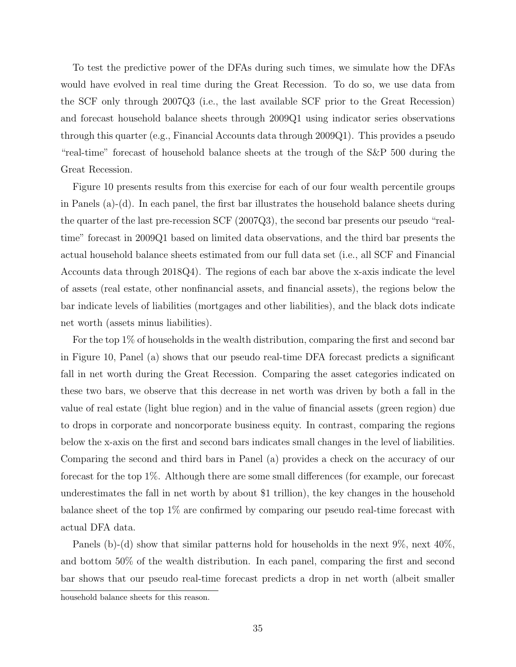To test the predictive power of the DFAs during such times, we simulate how the DFAs would have evolved in real time during the Great Recession. To do so, we use data from the SCF only through 2007Q3 (i.e., the last available SCF prior to the Great Recession) and forecast household balance sheets through 2009Q1 using indicator series observations through this quarter (e.g., Financial Accounts data through 2009Q1). This provides a pseudo "real-time" forecast of household balance sheets at the trough of the S&P 500 during the Great Recession.

Figure 10 presents results from this exercise for each of our four wealth percentile groups in Panels (a)-(d). In each panel, the first bar illustrates the household balance sheets during the quarter of the last pre-recession SCF (2007Q3), the second bar presents our pseudo "realtime" forecast in 2009Q1 based on limited data observations, and the third bar presents the actual household balance sheets estimated from our full data set (i.e., all SCF and Financial Accounts data through 2018Q4). The regions of each bar above the x-axis indicate the level of assets (real estate, other nonfinancial assets, and financial assets), the regions below the bar indicate levels of liabilities (mortgages and other liabilities), and the black dots indicate net worth (assets minus liabilities).

For the top 1% of households in the wealth distribution, comparing the first and second bar in Figure 10, Panel (a) shows that our pseudo real-time DFA forecast predicts a significant fall in net worth during the Great Recession. Comparing the asset categories indicated on these two bars, we observe that this decrease in net worth was driven by both a fall in the value of real estate (light blue region) and in the value of financial assets (green region) due to drops in corporate and noncorporate business equity. In contrast, comparing the regions below the x-axis on the first and second bars indicates small changes in the level of liabilities. Comparing the second and third bars in Panel (a) provides a check on the accuracy of our forecast for the top 1%. Although there are some small differences (for example, our forecast underestimates the fall in net worth by about \$1 trillion), the key changes in the household balance sheet of the top 1% are confirmed by comparing our pseudo real-time forecast with actual DFA data.

Panels (b)-(d) show that similar patterns hold for households in the next 9\%, next 40\%, and bottom 50% of the wealth distribution. In each panel, comparing the first and second bar shows that our pseudo real-time forecast predicts a drop in net worth (albeit smaller

household balance sheets for this reason.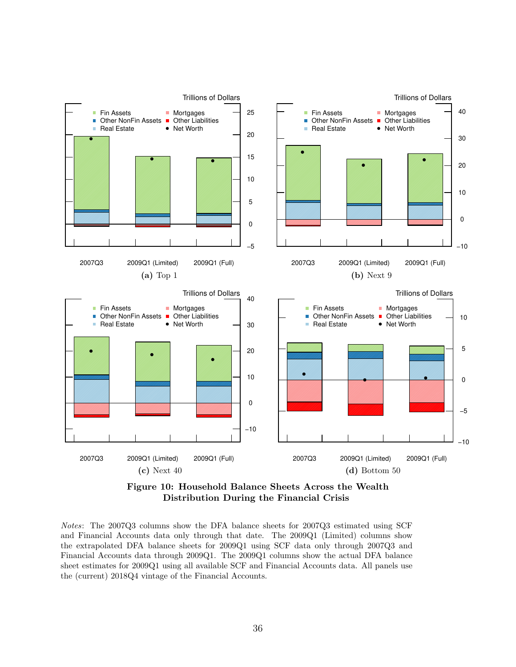

Figure 10: Household Balance Sheets Across the Wealth Distribution During the Financial Crisis

Notes: The 2007Q3 columns show the DFA balance sheets for 2007Q3 estimated using SCF and Financial Accounts data only through that date. The 2009Q1 (Limited) columns show the extrapolated DFA balance sheets for 2009Q1 using SCF data only through 2007Q3 and Financial Accounts data through 2009Q1. The 2009Q1 columns show the actual DFA balance sheet estimates for 2009Q1 using all available SCF and Financial Accounts data. All panels use the (current) 2018Q4 vintage of the Financial Accounts.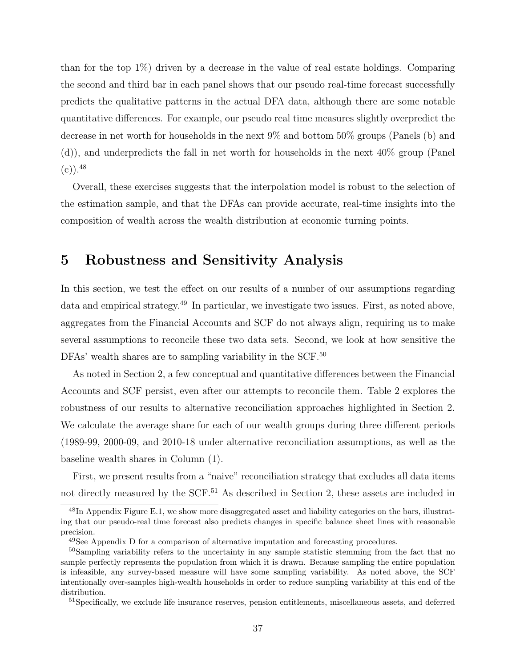than for the top 1%) driven by a decrease in the value of real estate holdings. Comparing the second and third bar in each panel shows that our pseudo real-time forecast successfully predicts the qualitative patterns in the actual DFA data, although there are some notable quantitative differences. For example, our pseudo real time measures slightly overpredict the decrease in net worth for households in the next 9% and bottom 50% groups (Panels (b) and (d)), and underpredicts the fall in net worth for households in the next 40% group (Panel  $(c)$ ). 48

Overall, these exercises suggests that the interpolation model is robust to the selection of the estimation sample, and that the DFAs can provide accurate, real-time insights into the composition of wealth across the wealth distribution at economic turning points.

## 5 Robustness and Sensitivity Analysis

In this section, we test the effect on our results of a number of our assumptions regarding data and empirical strategy.<sup>49</sup> In particular, we investigate two issues. First, as noted above, aggregates from the Financial Accounts and SCF do not always align, requiring us to make several assumptions to reconcile these two data sets. Second, we look at how sensitive the DFAs' wealth shares are to sampling variability in the SCF.<sup>50</sup>

As noted in Section 2, a few conceptual and quantitative differences between the Financial Accounts and SCF persist, even after our attempts to reconcile them. Table 2 explores the robustness of our results to alternative reconciliation approaches highlighted in Section 2. We calculate the average share for each of our wealth groups during three different periods (1989-99, 2000-09, and 2010-18 under alternative reconciliation assumptions, as well as the baseline wealth shares in Column (1).

First, we present results from a "naive" reconciliation strategy that excludes all data items not directly measured by the SCF.<sup>51</sup> As described in Section 2, these assets are included in

<sup>51</sup>Specifically, we exclude life insurance reserves, pension entitlements, miscellaneous assets, and deferred

<sup>&</sup>lt;sup>48</sup>In Appendix Figure E.1, we show more disaggregated asset and liability categories on the bars, illustrating that our pseudo-real time forecast also predicts changes in specific balance sheet lines with reasonable precision.

<sup>&</sup>lt;sup>49</sup>See Appendix D for a comparison of alternative imputation and forecasting procedures.

<sup>&</sup>lt;sup>50</sup>Sampling variability refers to the uncertainty in any sample statistic stemming from the fact that no sample perfectly represents the population from which it is drawn. Because sampling the entire population is infeasible, any survey-based measure will have some sampling variability. As noted above, the SCF intentionally over-samples high-wealth households in order to reduce sampling variability at this end of the distribution.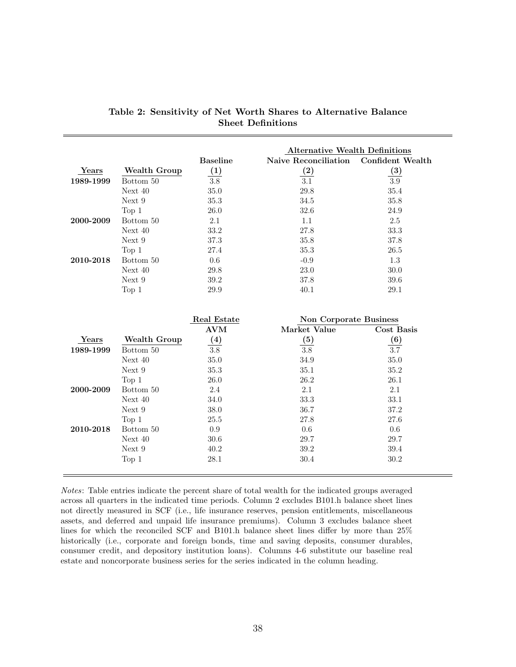|           |                     |                  | <b>Alternative Wealth Definitions</b> |                         |
|-----------|---------------------|------------------|---------------------------------------|-------------------------|
|           |                     | <b>Baseline</b>  | Naive Reconciliation                  | <b>Confident Wealth</b> |
| Years     | <b>Wealth Group</b> | $\left(1\right)$ | (2)                                   | $\left( 3\right)$       |
| 1989-1999 | Bottom 50           | $3.8\,$          | $\overline{3.1}$                      | $3.9\,$                 |
|           | Next 40             | $35.0\,$         | 29.8                                  | 35.4                    |
|           | Next 9              | 35.3             | 34.5                                  | 35.8                    |
|           | Top 1               | 26.0             | 32.6                                  | 24.9                    |
| 2000-2009 | Bottom 50           | 2.1              | 1.1                                   | 2.5                     |
|           | Next 40             | 33.2             | 27.8                                  | 33.3                    |
|           | Next 9              | 37.3             | 35.8                                  | 37.8                    |
|           | Top $1$             | 27.4             | 35.3                                  | 26.5                    |
| 2010-2018 | Bottom 50           | 0.6              | $-0.9$                                | 1.3                     |
|           | Next 40             | 29.8             | 23.0                                  | 30.0                    |
|           | Next 9              | 39.2             | 37.8                                  | 39.6                    |
|           | Top 1               | 29.9             | 40.1                                  | $29.1\,$                |
|           |                     |                  |                                       |                         |
|           |                     |                  |                                       |                         |
|           |                     | Real Estate      | <b>Non Corporate Business</b>         |                         |
|           |                     | <b>AVM</b>       | Market Value                          | <b>Cost Basis</b>       |
| Years     | <b>Wealth Group</b> | (4)              | (5)                                   | (6)                     |
| 1989-1999 | Bottom 50           | $\overline{3.8}$ | $\overline{3.8}$                      | 3.7                     |
|           | Next 40             | 35.0             | 34.9                                  | $35.0\,$                |
|           | Next 9              | 35.3             | 35.1                                  | 35.2                    |
|           | Top 1               | 26.0             | 26.2                                  | 26.1                    |
| 2000-2009 | Bottom 50           | 2.4              | 2.1                                   | 2.1                     |
|           | Next 40             | 34.0             | 33.3                                  | 33.1                    |
|           | Next 9              | 38.0             | 36.7                                  | 37.2                    |
|           | Top $1$             | 25.5             | 27.8                                  | 27.6                    |
| 2010-2018 | Bottom 50           | 0.9              | 0.6                                   | 0.6                     |
|           | Next 40             | 30.6             | 29.7                                  | 29.7                    |
|           | Next 9              | 40.2             | 39.2                                  | 39.4                    |
|           | Top 1               | 28.1             | 30.4                                  | 30.2                    |

|  |  |                          | Table 2: Sensitivity of Net Worth Shares to Alternative Balance |  |
|--|--|--------------------------|-----------------------------------------------------------------|--|
|  |  | <b>Sheet Definitions</b> |                                                                 |  |

Notes: Table entries indicate the percent share of total wealth for the indicated groups averaged across all quarters in the indicated time periods. Column 2 excludes B101.h balance sheet lines not directly measured in SCF (i.e., life insurance reserves, pension entitlements, miscellaneous assets, and deferred and unpaid life insurance premiums). Column 3 excludes balance sheet lines for which the reconciled SCF and B101.h balance sheet lines differ by more than 25% historically (i.e., corporate and foreign bonds, time and saving deposits, consumer durables, consumer credit, and depository institution loans). Columns 4-6 substitute our baseline real estate and noncorporate business series for the series indicated in the column heading.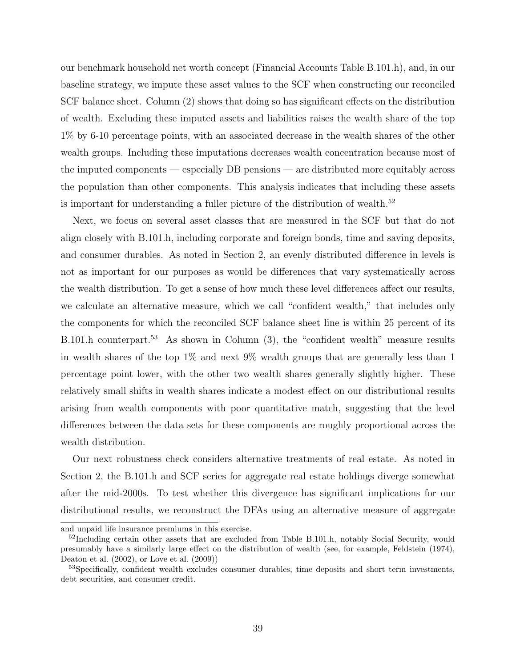our benchmark household net worth concept (Financial Accounts Table B.101.h), and, in our baseline strategy, we impute these asset values to the SCF when constructing our reconciled SCF balance sheet. Column (2) shows that doing so has significant effects on the distribution of wealth. Excluding these imputed assets and liabilities raises the wealth share of the top 1% by 6-10 percentage points, with an associated decrease in the wealth shares of the other wealth groups. Including these imputations decreases wealth concentration because most of the imputed components — especially DB pensions — are distributed more equitably across the population than other components. This analysis indicates that including these assets is important for understanding a fuller picture of the distribution of wealth.<sup>52</sup>

Next, we focus on several asset classes that are measured in the SCF but that do not align closely with B.101.h, including corporate and foreign bonds, time and saving deposits, and consumer durables. As noted in Section 2, an evenly distributed difference in levels is not as important for our purposes as would be differences that vary systematically across the wealth distribution. To get a sense of how much these level differences affect our results, we calculate an alternative measure, which we call "confident wealth," that includes only the components for which the reconciled SCF balance sheet line is within 25 percent of its B.101.h counterpart.<sup>53</sup> As shown in Column (3), the "confident wealth" measure results in wealth shares of the top 1% and next 9% wealth groups that are generally less than 1 percentage point lower, with the other two wealth shares generally slightly higher. These relatively small shifts in wealth shares indicate a modest effect on our distributional results arising from wealth components with poor quantitative match, suggesting that the level differences between the data sets for these components are roughly proportional across the wealth distribution.

Our next robustness check considers alternative treatments of real estate. As noted in Section 2, the B.101.h and SCF series for aggregate real estate holdings diverge somewhat after the mid-2000s. To test whether this divergence has significant implications for our distributional results, we reconstruct the DFAs using an alternative measure of aggregate

and unpaid life insurance premiums in this exercise.

 $52$ Including certain other assets that are excluded from Table B.101.h, notably Social Security, would presumably have a similarly large effect on the distribution of wealth (see, for example, Feldstein (1974), Deaton et al. (2002), or Love et al. (2009))

<sup>&</sup>lt;sup>53</sup>Specifically, confident wealth excludes consumer durables, time deposits and short term investments, debt securities, and consumer credit.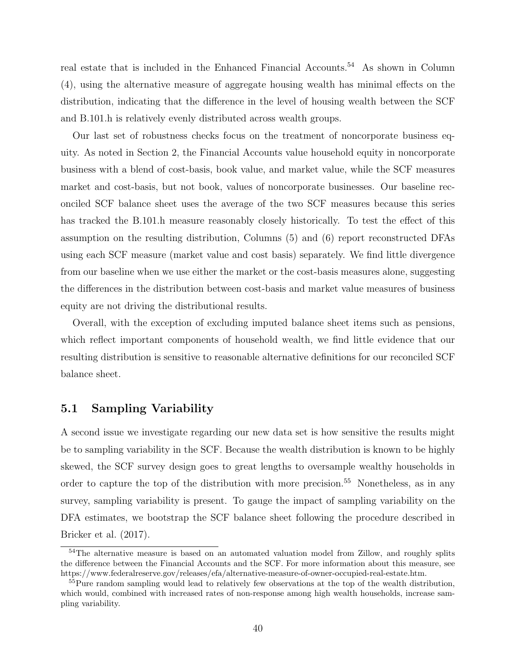real estate that is included in the Enhanced Financial Accounts.<sup>54</sup> As shown in Column (4), using the alternative measure of aggregate housing wealth has minimal effects on the distribution, indicating that the difference in the level of housing wealth between the SCF and B.101.h is relatively evenly distributed across wealth groups.

Our last set of robustness checks focus on the treatment of noncorporate business equity. As noted in Section 2, the Financial Accounts value household equity in noncorporate business with a blend of cost-basis, book value, and market value, while the SCF measures market and cost-basis, but not book, values of noncorporate businesses. Our baseline reconciled SCF balance sheet uses the average of the two SCF measures because this series has tracked the B.101.h measure reasonably closely historically. To test the effect of this assumption on the resulting distribution, Columns (5) and (6) report reconstructed DFAs using each SCF measure (market value and cost basis) separately. We find little divergence from our baseline when we use either the market or the cost-basis measures alone, suggesting the differences in the distribution between cost-basis and market value measures of business equity are not driving the distributional results.

Overall, with the exception of excluding imputed balance sheet items such as pensions, which reflect important components of household wealth, we find little evidence that our resulting distribution is sensitive to reasonable alternative definitions for our reconciled SCF balance sheet.

#### 5.1 Sampling Variability

A second issue we investigate regarding our new data set is how sensitive the results might be to sampling variability in the SCF. Because the wealth distribution is known to be highly skewed, the SCF survey design goes to great lengths to oversample wealthy households in order to capture the top of the distribution with more precision.<sup>55</sup> Nonetheless, as in any survey, sampling variability is present. To gauge the impact of sampling variability on the DFA estimates, we bootstrap the SCF balance sheet following the procedure described in Bricker et al. (2017).

<sup>&</sup>lt;sup>54</sup>The alternative measure is based on an automated valuation model from Zillow, and roughly splits the difference between the Financial Accounts and the SCF. For more information about this measure, see https://www.federalreserve.gov/releases/efa/alternative-measure-of-owner-occupied-real-estate.htm.

<sup>&</sup>lt;sup>55</sup>Pure random sampling would lead to relatively few observations at the top of the wealth distribution, which would, combined with increased rates of non-response among high wealth households, increase sampling variability.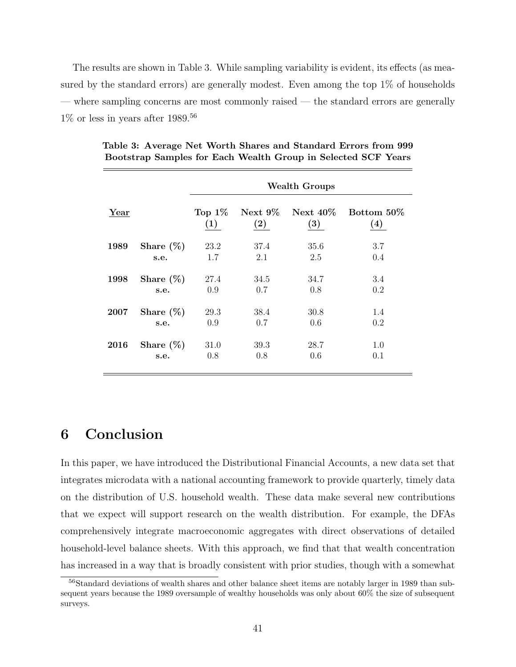The results are shown in Table 3. While sampling variability is evident, its effects (as measured by the standard errors) are generally modest. Even among the top 1% of households — where sampling concerns are most commonly raised — the standard errors are generally  $1\%$  or less in years after  $1989.^{56}$ 

|      |              |                                |                                 | <b>Wealth Groups</b> |                                  |
|------|--------------|--------------------------------|---------------------------------|----------------------|----------------------------------|
| Year |              | Top $1\%$<br>$\left( 1\right)$ | Next $9\%$<br>$\left( 2\right)$ | Next $40\%$<br>(3)   | Bottom 50\%<br>$\left( 4\right)$ |
| 1989 | Share $(\%)$ | 23.2                           | 37.4                            | 35.6                 | 3.7                              |
|      | s.e.         | 1.7                            | 2.1                             | 2.5                  | 0.4                              |
| 1998 | Share $(\%)$ | 27.4                           | 34.5                            | 34.7                 | 3.4                              |
|      | s.e.         | 0.9                            | 0.7                             | 0.8                  | 0.2                              |
| 2007 | Share $(\%)$ | 29.3                           | 38.4                            | 30.8                 | 1.4                              |
|      | s.e.         | 0.9                            | 0.7                             | 0.6                  | 0.2                              |
| 2016 | Share $(\%)$ | 31.0                           | 39.3                            | 28.7                 | 1.0                              |
|      | s.e.         | 0.8                            | 0.8                             | 0.6                  | 0.1                              |

Table 3: Average Net Worth Shares and Standard Errors from 999 Bootstrap Samples for Each Wealth Group in Selected SCF Years

## 6 Conclusion

In this paper, we have introduced the Distributional Financial Accounts, a new data set that integrates microdata with a national accounting framework to provide quarterly, timely data on the distribution of U.S. household wealth. These data make several new contributions that we expect will support research on the wealth distribution. For example, the DFAs comprehensively integrate macroeconomic aggregates with direct observations of detailed household-level balance sheets. With this approach, we find that that wealth concentration has increased in a way that is broadly consistent with prior studies, though with a somewhat

<sup>56</sup>Standard deviations of wealth shares and other balance sheet items are notably larger in 1989 than subsequent years because the 1989 oversample of wealthy households was only about 60% the size of subsequent surveys.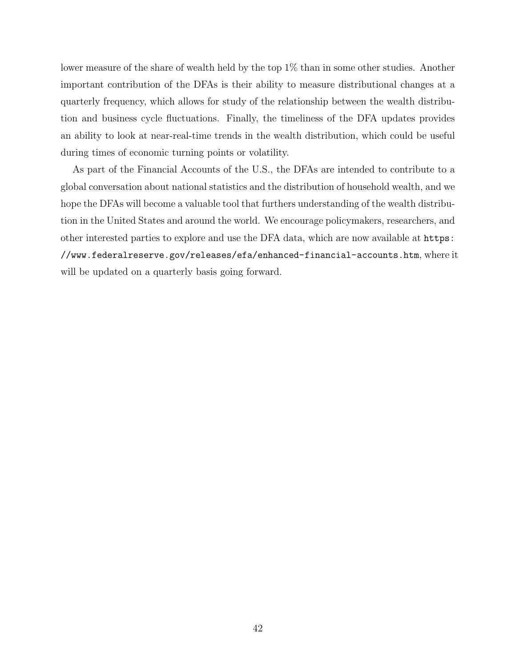lower measure of the share of wealth held by the top 1% than in some other studies. Another important contribution of the DFAs is their ability to measure distributional changes at a quarterly frequency, which allows for study of the relationship between the wealth distribution and business cycle fluctuations. Finally, the timeliness of the DFA updates provides an ability to look at near-real-time trends in the wealth distribution, which could be useful during times of economic turning points or volatility.

As part of the Financial Accounts of the U.S., the DFAs are intended to contribute to a global conversation about national statistics and the distribution of household wealth, and we hope the DFAs will become a valuable tool that furthers understanding of the wealth distribution in the United States and around the world. We encourage policymakers, researchers, and other interested parties to explore and use the DFA data, which are now available at https: //www.federalreserve.gov/releases/efa/enhanced-financial-accounts.htm, where it will be updated on a quarterly basis going forward.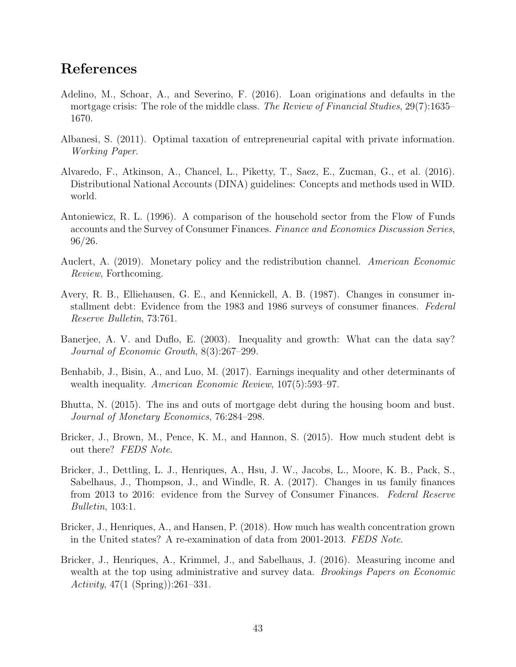## References

- Adelino, M., Schoar, A., and Severino, F. (2016). Loan originations and defaults in the mortgage crisis: The role of the middle class. *The Review of Financial Studies*, 29(7):1635– 1670.
- Albanesi, S. (2011). Optimal taxation of entrepreneurial capital with private information. *Working Paper*.
- Alvaredo, F., Atkinson, A., Chancel, L., Piketty, T., Saez, E., Zucman, G., et al. (2016). Distributional National Accounts (DINA) guidelines: Concepts and methods used in WID. world.
- Antoniewicz, R. L. (1996). A comparison of the household sector from the Flow of Funds accounts and the Survey of Consumer Finances. *Finance and Economics Discussion Series*, 96/26.
- Auclert, A. (2019). Monetary policy and the redistribution channel. *American Economic Review*, Forthcoming.
- Avery, R. B., Elliehausen, G. E., and Kennickell, A. B. (1987). Changes in consumer installment debt: Evidence from the 1983 and 1986 surveys of consumer finances. *Federal Reserve Bulletin*, 73:761.
- Banerjee, A. V. and Duflo, E. (2003). Inequality and growth: What can the data say? *Journal of Economic Growth*, 8(3):267–299.
- Benhabib, J., Bisin, A., and Luo, M. (2017). Earnings inequality and other determinants of wealth inequality. *American Economic Review*, 107(5):593–97.
- Bhutta, N. (2015). The ins and outs of mortgage debt during the housing boom and bust. *Journal of Monetary Economics*, 76:284–298.
- Bricker, J., Brown, M., Pence, K. M., and Hannon, S. (2015). How much student debt is out there? *FEDS Note*.
- Bricker, J., Dettling, L. J., Henriques, A., Hsu, J. W., Jacobs, L., Moore, K. B., Pack, S., Sabelhaus, J., Thompson, J., and Windle, R. A. (2017). Changes in us family finances from 2013 to 2016: evidence from the Survey of Consumer Finances. *Federal Reserve Bulletin*, 103:1.
- Bricker, J., Henriques, A., and Hansen, P. (2018). How much has wealth concentration grown in the United states? A re-examination of data from 2001-2013. *FEDS Note*.
- Bricker, J., Henriques, A., Krimmel, J., and Sabelhaus, J. (2016). Measuring income and wealth at the top using administrative and survey data. *Brookings Papers on Economic Activity*, 47(1 (Spring)):261–331.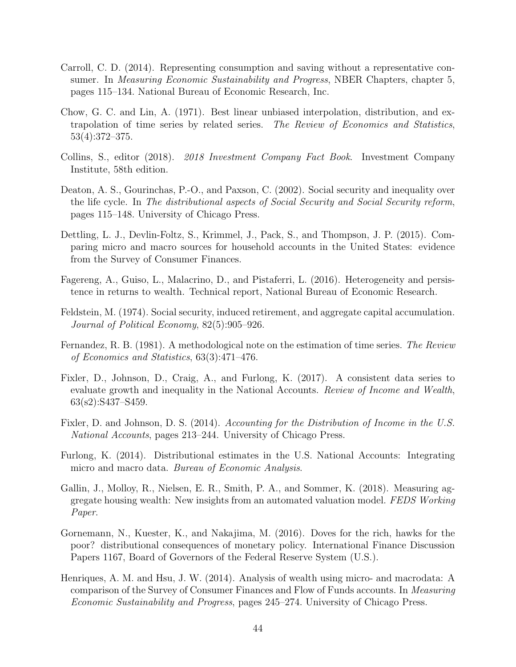- Carroll, C. D. (2014). Representing consumption and saving without a representative consumer. In *Measuring Economic Sustainability and Progress*, NBER Chapters, chapter 5, pages 115–134. National Bureau of Economic Research, Inc.
- Chow, G. C. and Lin, A. (1971). Best linear unbiased interpolation, distribution, and extrapolation of time series by related series. *The Review of Economics and Statistics*, 53(4):372–375.
- Collins, S., editor (2018). *2018 Investment Company Fact Book*. Investment Company Institute, 58th edition.
- Deaton, A. S., Gourinchas, P.-O., and Paxson, C. (2002). Social security and inequality over the life cycle. In *The distributional aspects of Social Security and Social Security reform*, pages 115–148. University of Chicago Press.
- Dettling, L. J., Devlin-Foltz, S., Krimmel, J., Pack, S., and Thompson, J. P. (2015). Comparing micro and macro sources for household accounts in the United States: evidence from the Survey of Consumer Finances.
- Fagereng, A., Guiso, L., Malacrino, D., and Pistaferri, L. (2016). Heterogeneity and persistence in returns to wealth. Technical report, National Bureau of Economic Research.
- Feldstein, M. (1974). Social security, induced retirement, and aggregate capital accumulation. *Journal of Political Economy*, 82(5):905–926.
- Fernandez, R. B. (1981). A methodological note on the estimation of time series. *The Review of Economics and Statistics*, 63(3):471–476.
- Fixler, D., Johnson, D., Craig, A., and Furlong, K. (2017). A consistent data series to evaluate growth and inequality in the National Accounts. *Review of Income and Wealth*, 63(s2):S437–S459.
- Fixler, D. and Johnson, D. S. (2014). *Accounting for the Distribution of Income in the U.S. National Accounts*, pages 213–244. University of Chicago Press.
- Furlong, K. (2014). Distributional estimates in the U.S. National Accounts: Integrating micro and macro data. *Bureau of Economic Analysis*.
- Gallin, J., Molloy, R., Nielsen, E. R., Smith, P. A., and Sommer, K. (2018). Measuring aggregate housing wealth: New insights from an automated valuation model. *FEDS Working Paper*.
- Gornemann, N., Kuester, K., and Nakajima, M. (2016). Doves for the rich, hawks for the poor? distributional consequences of monetary policy. International Finance Discussion Papers 1167, Board of Governors of the Federal Reserve System (U.S.).
- Henriques, A. M. and Hsu, J. W. (2014). Analysis of wealth using micro- and macrodata: A comparison of the Survey of Consumer Finances and Flow of Funds accounts. In *Measuring Economic Sustainability and Progress*, pages 245–274. University of Chicago Press.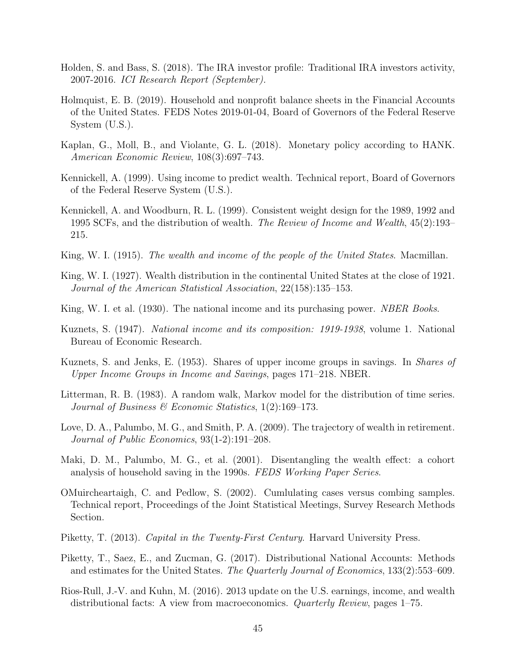- Holden, S. and Bass, S. (2018). The IRA investor profile: Traditional IRA investors activity, 2007-2016. *ICI Research Report (September).*
- Holmquist, E. B. (2019). Household and nonprofit balance sheets in the Financial Accounts of the United States. FEDS Notes 2019-01-04, Board of Governors of the Federal Reserve System (U.S.).
- Kaplan, G., Moll, B., and Violante, G. L. (2018). Monetary policy according to HANK. *American Economic Review*, 108(3):697–743.
- Kennickell, A. (1999). Using income to predict wealth. Technical report, Board of Governors of the Federal Reserve System (U.S.).
- Kennickell, A. and Woodburn, R. L. (1999). Consistent weight design for the 1989, 1992 and 1995 SCFs, and the distribution of wealth. *The Review of Income and Wealth*, 45(2):193– 215.
- King, W. I. (1915). *The wealth and income of the people of the United States*. Macmillan.
- King, W. I. (1927). Wealth distribution in the continental United States at the close of 1921. *Journal of the American Statistical Association*, 22(158):135–153.
- King, W. I. et al. (1930). The national income and its purchasing power. *NBER Books*.
- Kuznets, S. (1947). *National income and its composition: 1919-1938*, volume 1. National Bureau of Economic Research.
- Kuznets, S. and Jenks, E. (1953). Shares of upper income groups in savings. In *Shares of Upper Income Groups in Income and Savings*, pages 171–218. NBER.
- Litterman, R. B. (1983). A random walk, Markov model for the distribution of time series. *Journal of Business & Economic Statistics*, 1(2):169–173.
- Love, D. A., Palumbo, M. G., and Smith, P. A. (2009). The trajectory of wealth in retirement. *Journal of Public Economics*, 93(1-2):191–208.
- Maki, D. M., Palumbo, M. G., et al. (2001). Disentangling the wealth effect: a cohort analysis of household saving in the 1990s. *FEDS Working Paper Series*.
- OMuircheartaigh, C. and Pedlow, S. (2002). Cumlulating cases versus combing samples. Technical report, Proceedings of the Joint Statistical Meetings, Survey Research Methods Section.
- Piketty, T. (2013). *Capital in the Twenty-First Century*. Harvard University Press.
- Piketty, T., Saez, E., and Zucman, G. (2017). Distributional National Accounts: Methods and estimates for the United States. *The Quarterly Journal of Economics*, 133(2):553–609.
- Rios-Rull, J.-V. and Kuhn, M. (2016). 2013 update on the U.S. earnings, income, and wealth distributional facts: A view from macroeconomics. *Quarterly Review*, pages 1–75.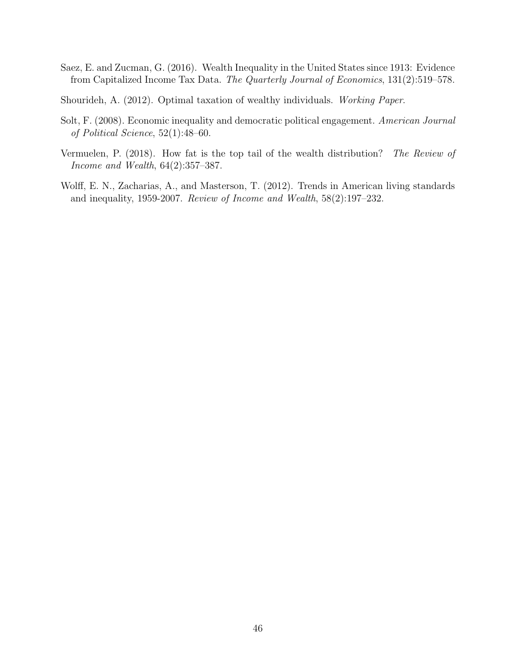Saez, E. and Zucman, G. (2016). Wealth Inequality in the United States since 1913: Evidence from Capitalized Income Tax Data. *The Quarterly Journal of Economics*, 131(2):519–578.

Shourideh, A. (2012). Optimal taxation of wealthy individuals. *Working Paper*.

- Solt, F. (2008). Economic inequality and democratic political engagement. *American Journal of Political Science*, 52(1):48–60.
- Vermuelen, P. (2018). How fat is the top tail of the wealth distribution? *The Review of Income and Wealth*, 64(2):357–387.
- Wolff, E. N., Zacharias, A., and Masterson, T. (2012). Trends in American living standards and inequality, 1959-2007. *Review of Income and Wealth*, 58(2):197–232.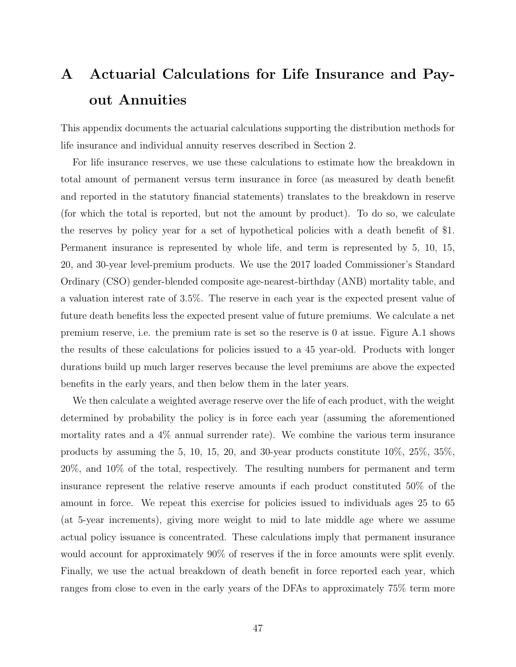# A Actuarial Calculations for Life Insurance and Payout Annuities

This appendix documents the actuarial calculations supporting the distribution methods for life insurance and individual annuity reserves described in Section 2.

For life insurance reserves, we use these calculations to estimate how the breakdown in total amount of permanent versus term insurance in force (as measured by death benefit and reported in the statutory financial statements) translates to the breakdown in reserve (for which the total is reported, but not the amount by product). To do so, we calculate the reserves by policy year for a set of hypothetical policies with a death benefit of \$1. Permanent insurance is represented by whole life, and term is represented by 5, 10, 15, 20, and 30-year level-premium products. We use the 2017 loaded Commissioner's Standard Ordinary (CSO) gender-blended composite age-nearest-birthday (ANB) mortality table, and a valuation interest rate of 3.5%. The reserve in each year is the expected present value of future death benefits less the expected present value of future premiums. We calculate a net premium reserve, i.e. the premium rate is set so the reserve is 0 at issue. Figure A.1 shows the results of these calculations for policies issued to a 45 year-old. Products with longer durations build up much larger reserves because the level premiums are above the expected benefits in the early years, and then below them in the later years.

We then calculate a weighted average reserve over the life of each product, with the weight determined by probability the policy is in force each year (assuming the aforementioned mortality rates and a 4% annual surrender rate). We combine the various term insurance products by assuming the 5, 10, 15, 20, and 30-year products constitute 10%, 25%, 35%, 20%, and 10% of the total, respectively. The resulting numbers for permanent and term insurance represent the relative reserve amounts if each product constituted 50% of the amount in force. We repeat this exercise for policies issued to individuals ages 25 to 65 (at 5-year increments), giving more weight to mid to late middle age where we assume actual policy issuance is concentrated. These calculations imply that permanent insurance would account for approximately 90% of reserves if the in force amounts were split evenly. Finally, we use the actual breakdown of death benefit in force reported each year, which ranges from close to even in the early years of the DFAs to approximately 75% term more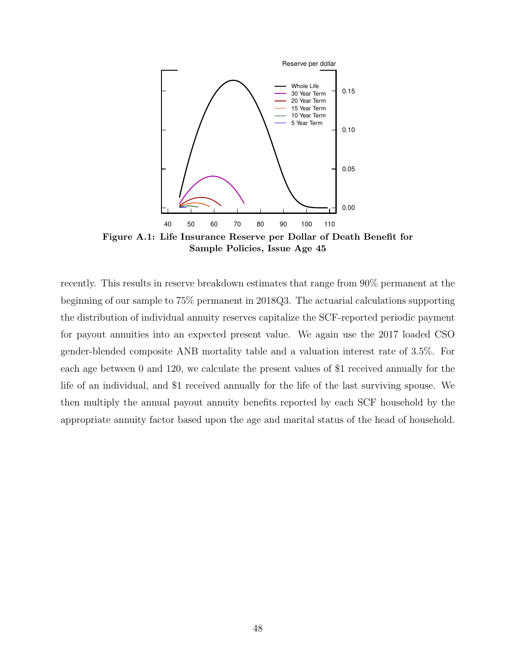

Sample Policies, Issue Age 45

recently. This results in reserve breakdown estimates that range from 90% permanent at the beginning of our sample to 75% permanent in 2018Q3. The actuarial calculations supporting the distribution of individual annuity reserves capitalize the SCF-reported periodic payment for payout annuities into an expected present value. We again use the 2017 loaded CSO gender-blended composite ANB mortality table and a valuation interest rate of 3.5%. For each age between 0 and 120, we calculate the present values of \$1 received annually for the life of an individual, and \$1 received annually for the life of the last surviving spouse. We then multiply the annual payout annuity benefits reported by each SCF household by the appropriate annuity factor based upon the age and marital status of the head of household.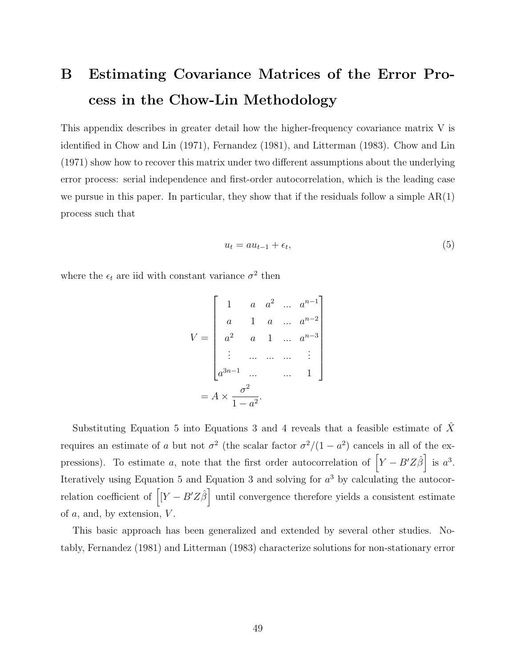# B Estimating Covariance Matrices of the Error Process in the Chow-Lin Methodology

This appendix describes in greater detail how the higher-frequency covariance matrix V is identified in Chow and Lin (1971), Fernandez (1981), and Litterman (1983). Chow and Lin (1971) show how to recover this matrix under two different assumptions about the underlying error process: serial independence and first-order autocorrelation, which is the leading case we pursue in this paper. In particular, they show that if the residuals follow a simple  $AR(1)$ process such that

$$
u_t = au_{t-1} + \epsilon_t,\tag{5}
$$

where the  $\epsilon_t$  are iid with constant variance  $\sigma^2$  then

$$
V = \begin{bmatrix} 1 & a & a^{2} & \dots & a^{n-1} \\ a & 1 & a & \dots & a^{n-2} \\ a^{2} & a & 1 & \dots & a^{n-3} \\ \vdots & \dots & \dots & \dots & \vdots \\ a^{3n-1} & \dots & \dots & 1 \end{bmatrix}
$$

$$
= A \times \frac{\sigma^{2}}{1 - a^{2}}.
$$

Substituting Equation 5 into Equations 3 and 4 reveals that a feasible estimate of  $\hat{X}$ requires an estimate of a but not  $\sigma^2$  (the scalar factor  $\sigma^2/(1-a^2)$  cancels in all of the expressions). To estimate a, note that the first order autocorrelation of  $\left[ Y - B'Z\hat{\beta} \right]$  is  $a^3$ . Iteratively using Equation 5 and Equation 3 and solving for  $a<sup>3</sup>$  by calculating the autocorrelation coefficient of  $\left[ Y - B'Z\hat{\beta} \right]$  until convergence therefore yields a consistent estimate of  $a$ , and, by extension,  $V$ .

This basic approach has been generalized and extended by several other studies. Notably, Fernandez (1981) and Litterman (1983) characterize solutions for non-stationary error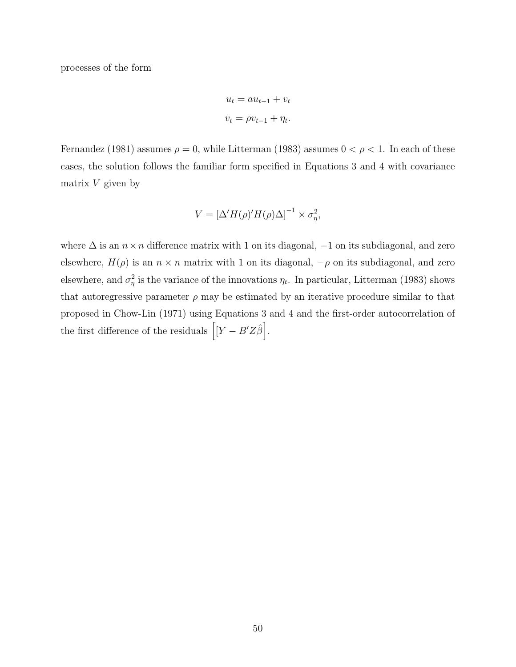processes of the form

$$
u_t = au_{t-1} + v_t
$$

$$
v_t = \rho v_{t-1} + \eta_t.
$$

Fernandez (1981) assumes  $\rho = 0$ , while Litterman (1983) assumes  $0 < \rho < 1$ . In each of these cases, the solution follows the familiar form specified in Equations 3 and 4 with covariance matrix  $V$  given by

$$
V = \left[\Delta'H(\rho)'H(\rho)\Delta\right]^{-1} \times \sigma_{\eta}^2,
$$

where  $\Delta$  is an  $n \times n$  difference matrix with 1 on its diagonal,  $-1$  on its subdiagonal, and zero elsewhere,  $H(\rho)$  is an  $n \times n$  matrix with 1 on its diagonal,  $-\rho$  on its subdiagonal, and zero elsewhere, and  $\sigma_n^2$  $\eta$ <sup>2</sup> is the variance of the innovations  $\eta_t$ . In particular, Litterman (1983) shows that autoregressive parameter  $\rho$  may be estimated by an iterative procedure similar to that proposed in Chow-Lin (1971) using Equations 3 and 4 and the first-order autocorrelation of the first difference of the residuals  $\left[ \left[ Y - B' Z \hat{\beta} \right] \right]$ .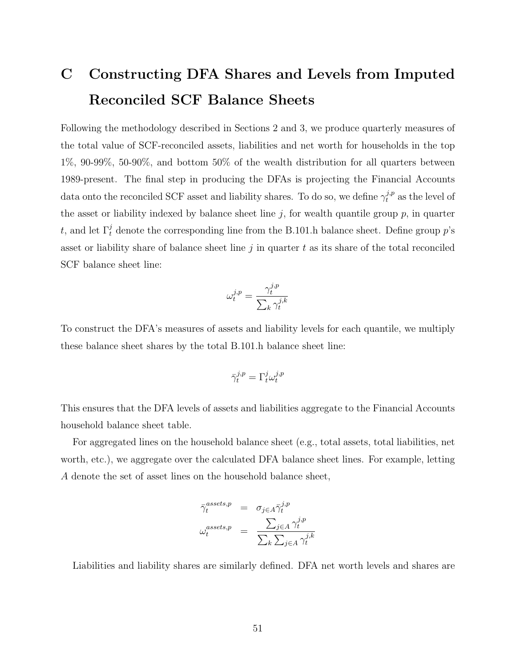# C Constructing DFA Shares and Levels from Imputed Reconciled SCF Balance Sheets

Following the methodology described in Sections 2 and 3, we produce quarterly measures of the total value of SCF-reconciled assets, liabilities and net worth for households in the top 1%, 90-99%, 50-90%, and bottom 50% of the wealth distribution for all quarters between 1989-present. The final step in producing the DFAs is projecting the Financial Accounts data onto the reconciled SCF asset and liability shares. To do so, we define  $\gamma_t^{j,p}$  as the level of the asset or liability indexed by balance sheet line  $j$ , for wealth quantile group  $p$ , in quarter t, and let  $\Gamma_t^j$  denote the corresponding line from the B.101.h balance sheet. Define group  $p$ 's asset or liability share of balance sheet line  $j$  in quarter  $t$  as its share of the total reconciled SCF balance sheet line:

$$
\omega_t^{j,p} = \frac{\gamma_t^{j,p}}{\sum_k \gamma_t^{j,k}}
$$

To construct the DFA's measures of assets and liability levels for each quantile, we multiply these balance sheet shares by the total B.101.h balance sheet line:

$$
\bar{\gamma}_t^{j,p} = \Gamma_t^j \omega_t^{j,p}
$$

This ensures that the DFA levels of assets and liabilities aggregate to the Financial Accounts household balance sheet table.

For aggregated lines on the household balance sheet (e.g., total assets, total liabilities, net worth, etc.), we aggregate over the calculated DFA balance sheet lines. For example, letting A denote the set of asset lines on the household balance sheet,

$$
\begin{array}{rcl}\n\bar{\gamma}_t^{assets,p} & = & \sigma_{j \in A} \bar{\gamma}_t^{j,p} \\
\omega_t^{assets,p} & = & \frac{\sum_{j \in A} \gamma_t^{j,p}}{\sum_k \sum_{j \in A} \gamma_t^{j,k}}\n\end{array}
$$

Liabilities and liability shares are similarly defined. DFA net worth levels and shares are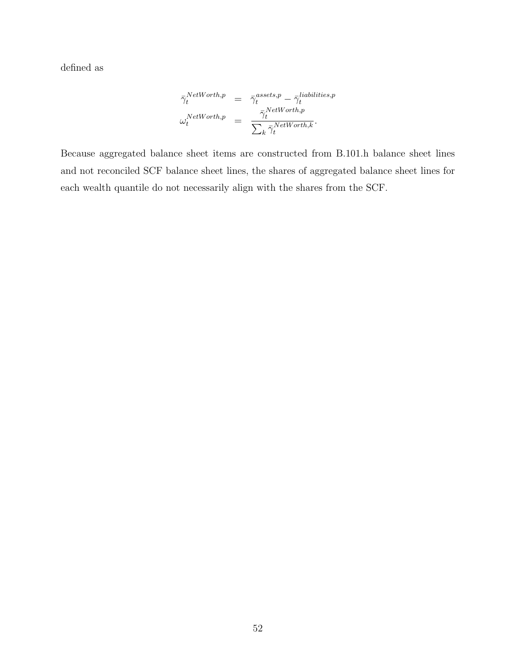defined as

$$
\begin{array}{lcl} \bar{\gamma}^{NetWorth,p}_{t} & = & \bar{\gamma}^{assets,p}_{t} - \bar{\gamma}^{liabilities,p}_{t} \\ \omega^{NetWorth,p}_{t} & = & \frac{\bar{\gamma}^{NetWorth,p}_{t}}{\sum_{k} \bar{\gamma}^{NetWorth,k}_{t}}. \end{array}
$$

Because aggregated balance sheet items are constructed from B.101.h balance sheet lines and not reconciled SCF balance sheet lines, the shares of aggregated balance sheet lines for each wealth quantile do not necessarily align with the shares from the SCF.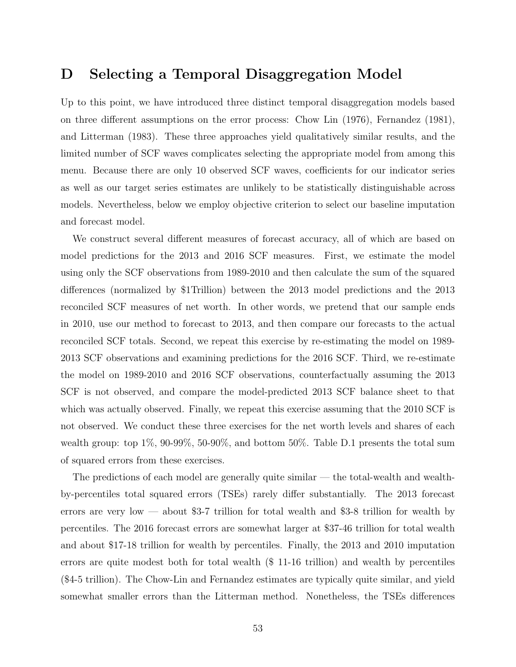## D Selecting a Temporal Disaggregation Model

Up to this point, we have introduced three distinct temporal disaggregation models based on three different assumptions on the error process: Chow Lin (1976), Fernandez (1981), and Litterman (1983). These three approaches yield qualitatively similar results, and the limited number of SCF waves complicates selecting the appropriate model from among this menu. Because there are only 10 observed SCF waves, coefficients for our indicator series as well as our target series estimates are unlikely to be statistically distinguishable across models. Nevertheless, below we employ objective criterion to select our baseline imputation and forecast model.

We construct several different measures of forecast accuracy, all of which are based on model predictions for the 2013 and 2016 SCF measures. First, we estimate the model using only the SCF observations from 1989-2010 and then calculate the sum of the squared differences (normalized by \$1Trillion) between the 2013 model predictions and the 2013 reconciled SCF measures of net worth. In other words, we pretend that our sample ends in 2010, use our method to forecast to 2013, and then compare our forecasts to the actual reconciled SCF totals. Second, we repeat this exercise by re-estimating the model on 1989- 2013 SCF observations and examining predictions for the 2016 SCF. Third, we re-estimate the model on 1989-2010 and 2016 SCF observations, counterfactually assuming the 2013 SCF is not observed, and compare the model-predicted 2013 SCF balance sheet to that which was actually observed. Finally, we repeat this exercise assuming that the 2010 SCF is not observed. We conduct these three exercises for the net worth levels and shares of each wealth group: top 1%, 90-99%, 50-90%, and bottom 50%. Table D.1 presents the total sum of squared errors from these exercises.

The predictions of each model are generally quite similar — the total-wealth and wealthby-percentiles total squared errors (TSEs) rarely differ substantially. The 2013 forecast errors are very low — about \$3-7 trillion for total wealth and \$3-8 trillion for wealth by percentiles. The 2016 forecast errors are somewhat larger at \$37-46 trillion for total wealth and about \$17-18 trillion for wealth by percentiles. Finally, the 2013 and 2010 imputation errors are quite modest both for total wealth (\$ 11-16 trillion) and wealth by percentiles (\$4-5 trillion). The Chow-Lin and Fernandez estimates are typically quite similar, and yield somewhat smaller errors than the Litterman method. Nonetheless, the TSEs differences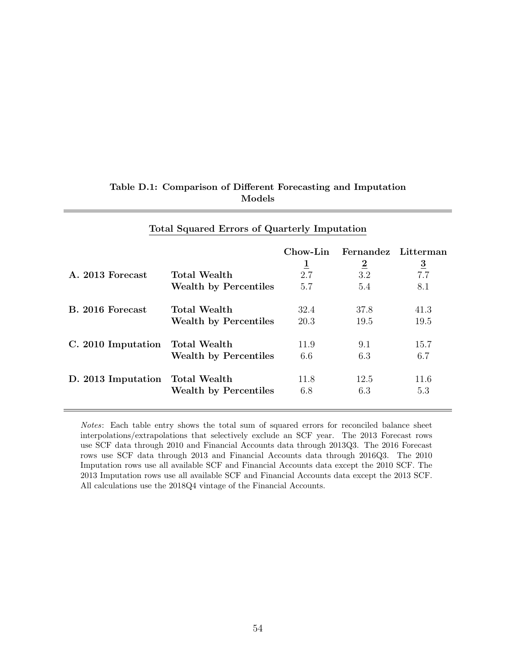|                    |                              | Chow-Lin<br>$\overline{1}$ | Fernandez Litterman<br>$\overline{2}$ | $\overline{3}$ |
|--------------------|------------------------------|----------------------------|---------------------------------------|----------------|
| A. 2013 Forecast   | Total Wealth                 | 2.7                        | 3.2                                   | 7.7            |
|                    | <b>Wealth by Percentiles</b> | 5.7                        | 5.4                                   | 8.1            |
| B. 2016 Forecast   | <b>Total Wealth</b>          | 32.4                       | 37.8                                  | 41.3           |
|                    | <b>Wealth by Percentiles</b> | 20.3                       | 19.5                                  | 19.5           |
| C. 2010 Imputation | <b>Total Wealth</b>          | 11.9                       | 9.1                                   | 15.7           |
|                    | <b>Wealth by Percentiles</b> | 6.6                        | 6.3                                   | 6.7            |
| D. 2013 Imputation | Total Wealth                 | 11.8                       | 12.5                                  | 11.6           |
|                    | <b>Wealth by Percentiles</b> | 6.8                        | 6.3                                   | 5.3            |
|                    |                              |                            |                                       |                |

#### Table D.1: Comparison of Different Forecasting and Imputation Models

Total Squared Errors of Quarterly Imputation

Notes: Each table entry shows the total sum of squared errors for reconciled balance sheet interpolations/extrapolations that selectively exclude an SCF year. The 2013 Forecast rows use SCF data through 2010 and Financial Accounts data through 2013Q3. The 2016 Forecast rows use SCF data through 2013 and Financial Accounts data through 2016Q3. The 2010 Imputation rows use all available SCF and Financial Accounts data except the 2010 SCF. The 2013 Imputation rows use all available SCF and Financial Accounts data except the 2013 SCF. All calculations use the 2018Q4 vintage of the Financial Accounts.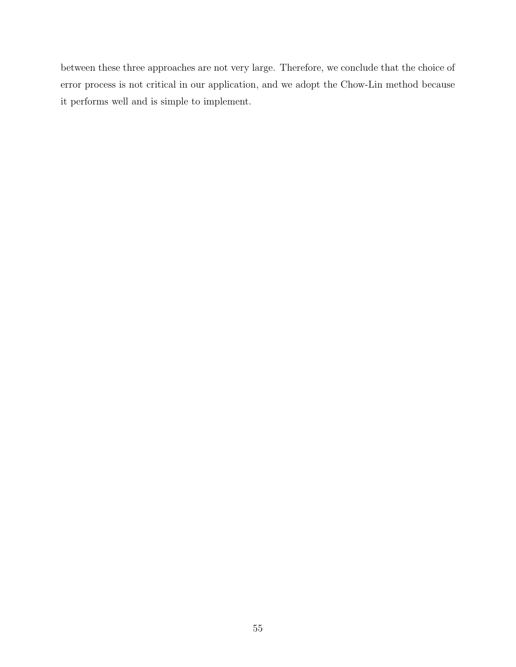between these three approaches are not very large. Therefore, we conclude that the choice of error process is not critical in our application, and we adopt the Chow-Lin method because it performs well and is simple to implement.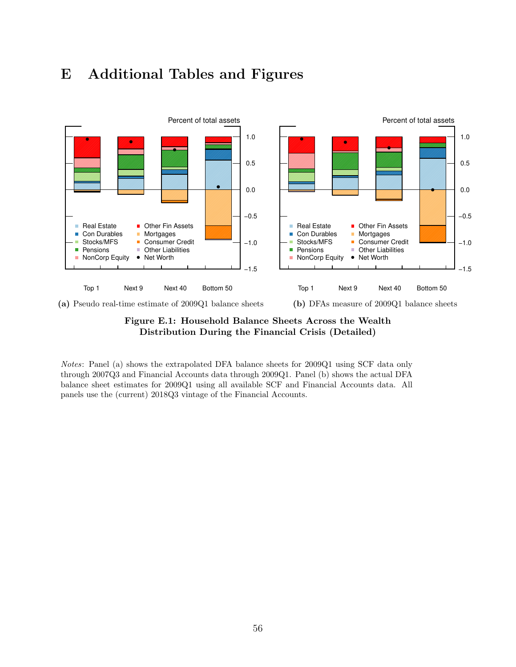





Notes: Panel (a) shows the extrapolated DFA balance sheets for 2009Q1 using SCF data only through 2007Q3 and Financial Accounts data through 2009Q1. Panel (b) shows the actual DFA balance sheet estimates for 2009Q1 using all available SCF and Financial Accounts data. All panels use the (current) 2018Q3 vintage of the Financial Accounts.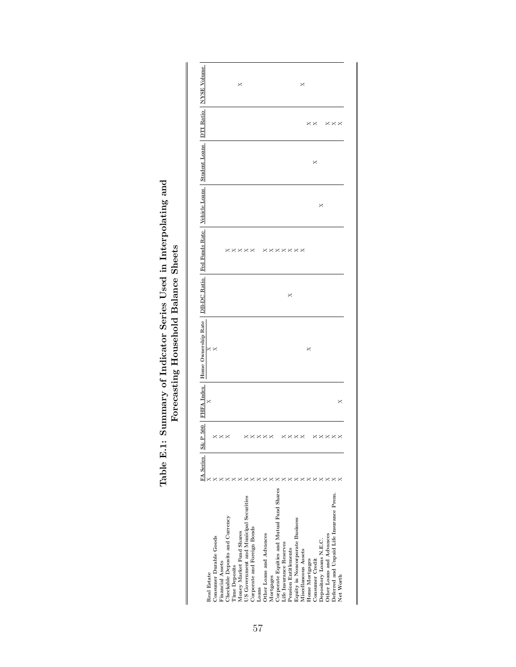|                                           | FA Series S& | 500<br>۵       |   | FHFA Index   Home Ownership Rate   DB-DC Ratio   Fed Funds Rate   Vehicle Loans |   |                |   | Student Loans |                      | DTI Ratio   NYSE Volume |
|-------------------------------------------|--------------|----------------|---|---------------------------------------------------------------------------------|---|----------------|---|---------------|----------------------|-------------------------|
| Real Estate                               |              |                | × |                                                                                 |   |                |   |               |                      |                         |
| Consumer Durable Goods                    |              |                |   |                                                                                 |   |                |   |               |                      |                         |
| Financial Assets                          |              | ×××            |   |                                                                                 |   |                |   |               |                      |                         |
| Checkable Deposits and Currency           |              |                |   |                                                                                 |   |                |   |               |                      |                         |
| <b>Time Deposits</b>                      |              |                |   |                                                                                 |   | <b>xxxx</b>    |   |               |                      |                         |
| Money Market Fund Shares                  |              |                |   |                                                                                 |   |                |   |               |                      | ×                       |
| US Government and Municipal Securities    |              |                |   |                                                                                 |   |                |   |               |                      |                         |
| Corporate and Foreign Bonds               |              | xxx            |   |                                                                                 |   |                |   |               |                      |                         |
| Loans                                     |              |                |   |                                                                                 |   |                |   |               |                      |                         |
| Other Loans and Advances                  |              | ×              |   |                                                                                 |   |                |   |               |                      |                         |
| Mortgages                                 |              | ×              |   |                                                                                 |   |                |   |               |                      |                         |
| Corporate Equities and Mutual Fund Shares |              |                |   |                                                                                 |   |                |   |               |                      |                         |
| Life Insurance Reserves                   |              |                |   |                                                                                 |   |                |   |               |                      |                         |
| Pension Entitlements                      |              |                |   |                                                                                 | × |                |   |               |                      |                         |
| Equity in Noncorporate Business           |              | <b>××××</b>    |   |                                                                                 |   | <b>xxxxxxx</b> |   |               |                      |                         |
| Miscellaneous Assets                      |              |                |   |                                                                                 |   |                |   |               |                      | ×                       |
| Home Mortgages                            |              |                |   | ×                                                                               |   |                |   |               | $\times\times$       |                         |
| Consumer Credit                           |              |                |   |                                                                                 |   |                |   | ×             |                      |                         |
| Depository Loans N.E.C.                   |              | $\times\times$ |   |                                                                                 |   |                | × |               |                      |                         |
| Other Loans and Advances                  |              | ×              |   |                                                                                 |   |                |   |               |                      |                         |
| Deferred and Unpaid Life Insurance Prem.  |              | ×              |   |                                                                                 |   |                |   |               | $\times\times\times$ |                         |
| Net Worth                                 |              |                | × |                                                                                 |   |                |   |               |                      |                         |
|                                           |              |                |   |                                                                                 |   |                |   |               |                      |                         |

# Table E.1: Summary of Indicator Series Used in Interpolating and Forecasting Household Balance Sheets Table E.1: Summary of Indicator Series Used in Interpolating and Forecasting Household Balance Sheets